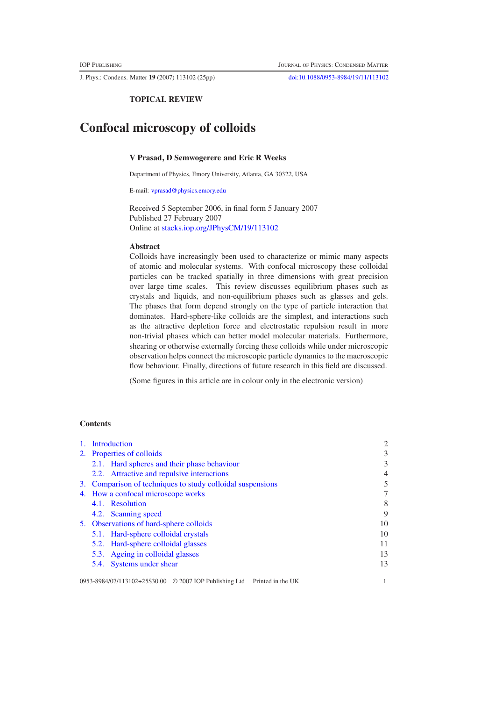J. Phys.: Condens. Matter **19** (2007) 113102 (25pp) [doi:10.1088/0953-8984/19/11/113102](http://dx.doi.org/10.1088/0953-8984/19/11/113102)

# **TOPICAL REVIEW**

# **Confocal microscopy of colloids**

# **V Prasad, D Semwogerere and Eric R Weeks**

Department of Physics, Emory University, Atlanta, GA 30322, USA

E-mail: [vprasad@physics.emory.edu](mailto:vprasad@physics.emory.edu)

Received 5 September 2006, in final form 5 January 2007 Published 27 February 2007 Online at [stacks.iop.org/JPhysCM/19/113102](http://stacks.iop.org/JPhysCM/19/113102)

# **Abstract**

Colloids have increasingly been used to characterize or mimic many aspects of atomic and molecular systems. With confocal microscopy these colloidal particles can be tracked spatially in three dimensions with great precision over large time scales. This review discusses equilibrium phases such as crystals and liquids, and non-equilibrium phases such as glasses and gels. The phases that form depend strongly on the type of particle interaction that dominates. Hard-sphere-like colloids are the simplest, and interactions such as the attractive depletion force and electrostatic repulsion result in more non-trivial phases which can better model molecular materials. Furthermore, shearing or otherwise externally forcing these colloids while under microscopic observation helps connect the microscopic particle dynamics to the macroscopic flow behaviour. Finally, directions of future research in this field are discussed.

(Some figures in this article are in colour only in the electronic version)

# **Contents**

|  | 1. Introduction                                                           | 2  |
|--|---------------------------------------------------------------------------|----|
|  | 2. Properties of colloids                                                 | 3  |
|  | 2.1. Hard spheres and their phase behaviour                               | 3  |
|  | 2.2. Attractive and repulsive interactions                                | 4  |
|  | 3. Comparison of techniques to study colloidal suspensions                | 5  |
|  | 4. How a confocal microscope works                                        | 7  |
|  | 4.1. Resolution                                                           | 8  |
|  | 4.2. Scanning speed                                                       | 9  |
|  | 5. Observations of hard-sphere colloids                                   | 10 |
|  | 5.1. Hard-sphere colloidal crystals                                       | 10 |
|  | 5.2. Hard-sphere colloidal glasses                                        | 11 |
|  | 5.3. Ageing in colloidal glasses                                          | 13 |
|  | 5.4. Systems under shear                                                  | 13 |
|  | 0953-8984/07/113102+25\$30.00 © 2007 IOP Publishing Ltd Printed in the UK |    |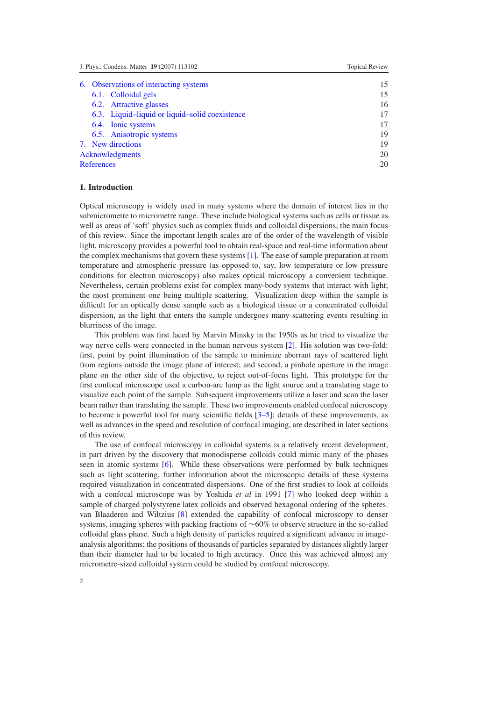<span id="page-1-0"></span>

| 6. Observations of interacting systems         | 15 |  |
|------------------------------------------------|----|--|
| 6.1. Colloidal gels                            | 15 |  |
| 6.2. Attractive glasses                        | 16 |  |
| 6.3. Liquid–liquid or liquid–solid coexistence | 17 |  |
| 6.4. Ionic systems                             | 17 |  |
| 6.5. Anisotropic systems                       | 19 |  |
| 7. New directions                              | 19 |  |
| Acknowledgments                                | 20 |  |
| References                                     |    |  |
|                                                |    |  |

# **1. Introduction**

Optical microscopy is widely used in many systems where the domain of interest lies in the submicrometre to micrometre range. These include biological systems such as cells or tissue as well as areas of 'soft' physics such as complex fluids and colloidal dispersions, the main focus of this review. Since the important length scales are of the order of the wavelength of visible light, microscopy provides a powerful tool to obtain real-space and real-time information about the complex mechanisms that govern these systems [\[1\]](#page-19-2). The ease of sample preparation at room temperature and atmospheric pressure (as opposed to, say, low temperature or low pressure conditions for electron microscopy) also makes optical microscopy a convenient technique. Nevertheless, certain problems exist for complex many-body systems that interact with light; the most prominent one being multiple scattering. Visualization deep within the sample is difficult for an optically dense sample such as a biological tissue or a concentrated colloidal dispersion, as the light that enters the sample undergoes many scattering events resulting in blurriness of the image.

This problem was first faced by Marvin Minsky in the 1950s as he tried to visualize the way nerve cells were connected in the human nervous system [\[2\]](#page-19-3). His solution was two-fold: first, point by point illumination of the sample to minimize aberrant rays of scattered light from regions outside the image plane of interest; and second, a pinhole aperture in the image plane on the other side of the objective, to reject out-of-focus light. This prototype for the first confocal microscope used a carbon-arc lamp as the light source and a translating stage to visualize each point of the sample. Subsequent improvements utilize a laser and scan the laser beam rather than translating the sample. These two improvements enabled confocal microscopy to become a powerful tool for many scientific fields [\[3–5\]](#page-19-4); details of these improvements, as well as advances in the speed and resolution of confocal imaging, are described in later sections of this review.

The use of confocal microscopy in colloidal systems is a relatively recent development, in part driven by the discovery that monodisperse colloids could mimic many of the phases seen in atomic systems [\[6\]](#page-19-5). While these observations were performed by bulk techniques such as light scattering, further information about the microscopic details of these systems required visualization in concentrated dispersions. One of the first studies to look at colloids with a confocal microscope was by Yoshida *et al* in 1991 [\[7\]](#page-19-6) who looked deep within a sample of charged polystyrene latex colloids and observed hexagonal ordering of the spheres. van Blaaderen and Wiltzius [\[8\]](#page-19-7) extended the capability of confocal microscopy to denser systems, imaging spheres with packing fractions of ∼60% to observe structure in the so-called colloidal glass phase. Such a high density of particles required a significant advance in imageanalysis algorithms; the positions of thousands of particles separated by distances slightly larger than their diameter had to be located to high accuracy. Once this was achieved almost any micrometre-sized colloidal system could be studied by confocal microscopy.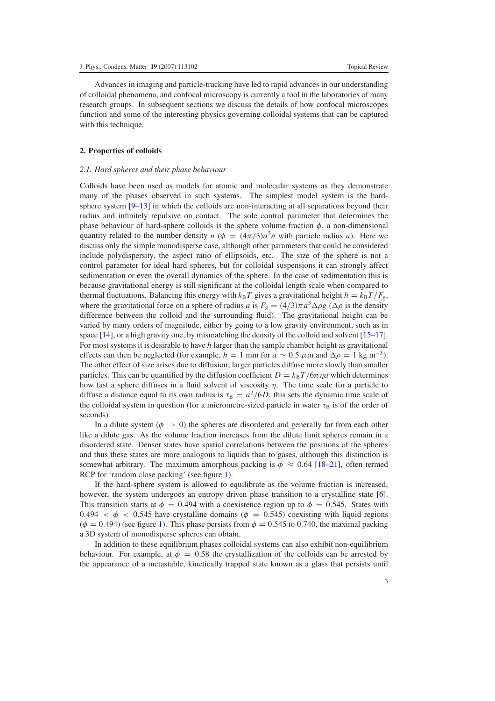<span id="page-2-1"></span><span id="page-2-0"></span>Advances in imaging and particle-tracking have led to rapid advances in our understanding of colloidal phenomena, and confocal microscopy is currently a tool in the laboratories of many research groups. In subsequent sections we discuss the details of how confocal microscopes function and some of the interesting physics governing colloidal systems that can be captured with this technique.

# **2. Properties of colloids**

#### *2.1. Hard spheres and their phase behaviour*

Colloids have been used as models for atomic and molecular systems as they demonstrate many of the phases observed in such systems. The simplest model system is the hardsphere system  $[9-13]$  in which the colloids are non-interacting at all separations beyond their radius and infinitely repulsive on contact. The sole control parameter that determines the phase behaviour of hard-sphere colloids is the sphere volume fraction  $\phi$ , a non-dimensional quantity related to the number density *n* ( $\phi = (4\pi/3)a^3n$  with particle radius *a*). Here we discuss only the simple monodisperse case, although other parameters that could be considered include polydispersity, the aspect ratio of ellipsoids, etc. The size of the sphere is not a control parameter for ideal hard spheres, but for colloidal suspensions it can strongly affect sedimentation or even the overall dynamics of the sphere. In the case of sedimentation this is because gravitational energy is still significant at the colloidal length scale when compared to thermal fluctuations. Balancing this energy with  $k_B T$  gives a gravitational height  $h = k_B T/F_g$ , where the gravitational force on a sphere of radius *a* is  $F_g = (4/3)\pi a^3 \Delta \rho g$  ( $\Delta \rho$  is the density difference between the colloid and the surrounding fluid). The gravitational height can be varied by many orders of magnitude, either by going to a low gravity environment, such as in space [\[14\]](#page-19-9), or a high gravity one, by mismatching the density of the colloid and solvent [\[15–17\]](#page-19-10). For most systems it is desirable to have *h* larger than the sample chamber height as gravitational effects can then be neglected (for example,  $h = 1$  mm for  $a \sim 0.5 \mu$ m and  $\Delta \rho = 1$  kg m<sup>-3</sup>). The other effect of size arises due to diffusion; larger particles diffuse more slowly than smaller particles. This can be quantified by the diffusion coefficient  $D = k_B T/6\pi \eta a$  which determines how fast a sphere diffuses in a fluid solvent of viscosity  $\eta$ . The time scale for a particle to diffuse a distance equal to its own radius is  $\tau_B = a^2/6D$ ; this sets the dynamic time scale of the colloidal system in question (for a micrometre-sized particle in water  $\tau_B$  is of the order of seconds).

In a dilute system ( $\phi \rightarrow 0$ ) the spheres are disordered and generally far from each other like a dilute gas. As the volume fraction increases from the dilute limit spheres remain in a disordered state. Denser states have spatial correlations between the positions of the spheres and thus these states are more analogous to liquids than to gases, although this distinction is somewhat arbitrary. The maximum amorphous packing is  $\phi \approx 0.64$  [\[18–21\]](#page-19-11), often termed RCP for 'random close packing' (see figure [1\)](#page-3-1).

If the hard-sphere system is allowed to equilibrate as the volume fraction is increased, however, the system undergoes an entropy driven phase transition to a crystalline state [\[6\]](#page-19-5). This transition starts at  $\phi = 0.494$  with a coexistence region up to  $\phi = 0.545$ . States with 0.494  $\lt \phi \lt 0.545$  have crystalline domains ( $\phi = 0.545$ ) coexisting with liquid regions  $(\phi = 0.494)$  (see figure [1\)](#page-3-1). This phase persists from  $\phi = 0.545$  to 0.740, the maximal packing a 3D system of monodisperse spheres can obtain.

In addition to these equilibrium phases colloidal systems can also exhibit non-equilibrium behaviour. For example, at  $\phi = 0.58$  the crystallization of the colloids can be arrested by the appearance of a metastable, kinetically trapped state known as a glass that persists until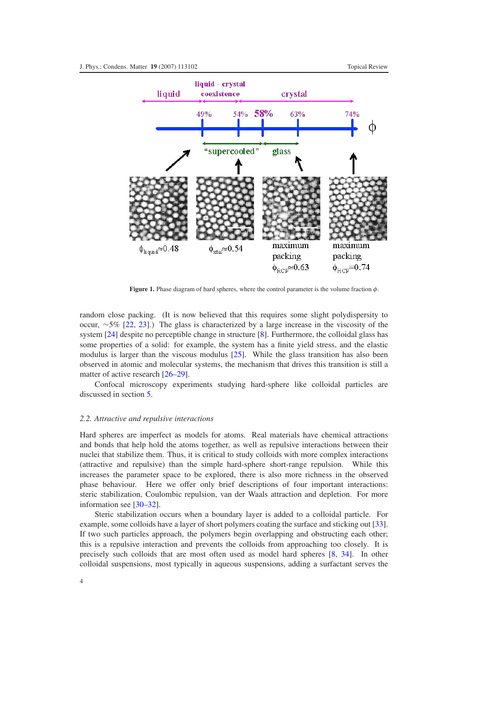<span id="page-3-1"></span>

**Figure 1.** Phase diagram of hard spheres, where the control parameter is the volume fraction  $\phi$ .

random close packing. (It is now believed that this requires some slight polydispersity to occur, ∼5% [\[22,](#page-19-12) [23\]](#page-19-13).) The glass is characterized by a large increase in the viscosity of the system [\[24\]](#page-19-14) despite no perceptible change in structure [\[8\]](#page-19-7). Furthermore, the colloidal glass has some properties of a solid: for example, the system has a finite yield stress, and the elastic modulus is larger than the viscous modulus [\[25\]](#page-19-15). While the glass transition has also been observed in atomic and molecular systems, the mechanism that drives this transition is still a matter of active research  $[26-29]$ .

<span id="page-3-0"></span>Confocal microscopy experiments studying hard-sphere like colloidal particles are discussed in section [5.](#page-9-0)

# *2.2. Attractive and repulsive interactions*

Hard spheres are imperfect as models for atoms. Real materials have chemical attractions and bonds that help hold the atoms together, as well as repulsive interactions between their nuclei that stabilize them. Thus, it is critical to study colloids with more complex interactions (attractive and repulsive) than the simple hard-sphere short-range repulsion. While this increases the parameter space to be explored, there is also more richness in the observed phase behaviour. Here we offer only brief descriptions of four important interactions: steric stabilization, Coulombic repulsion, van der Waals attraction and depletion. For more information see [\[30–32\]](#page-20-1).

Steric stabilization occurs when a boundary layer is added to a colloidal particle. For example, some colloids have a layer of short polymers coating the surface and sticking out [\[33\]](#page-20-2). If two such particles approach, the polymers begin overlapping and obstructing each other; this is a repulsive interaction and prevents the colloids from approaching too closely. It is precisely such colloids that are most often used as model hard spheres [\[8,](#page-19-7) [34\]](#page-20-3). In other colloidal suspensions, most typically in aqueous suspensions, adding a surfactant serves the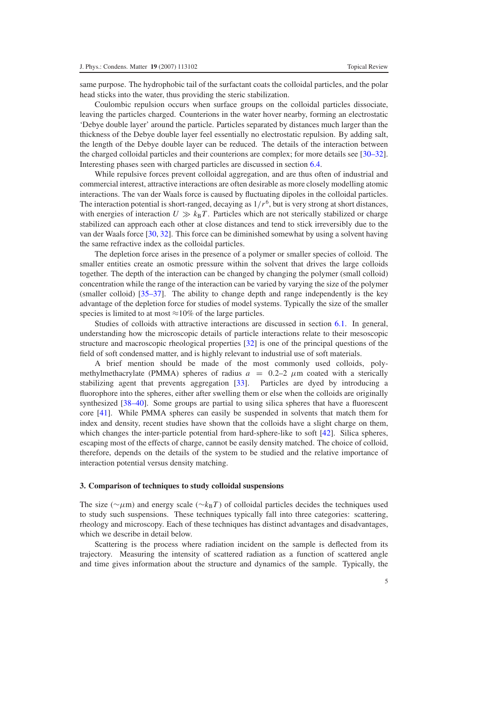same purpose. The hydrophobic tail of the surfactant coats the colloidal particles, and the polar head sticks into the water, thus providing the steric stabilization.

Coulombic repulsion occurs when surface groups on the colloidal particles dissociate, leaving the particles charged. Counterions in the water hover nearby, forming an electrostatic 'Debye double layer' around the particle. Particles separated by distances much larger than the thickness of the Debye double layer feel essentially no electrostatic repulsion. By adding salt, the length of the Debye double layer can be reduced. The details of the interaction between the charged colloidal particles and their counterions are complex; for more details see [\[30–32\]](#page-20-1). Interesting phases seen with charged particles are discussed in section [6.4.](#page-16-1)

While repulsive forces prevent colloidal aggregation, and are thus often of industrial and commercial interest, attractive interactions are often desirable as more closely modelling atomic interactions. The van der Waals force is caused by fluctuating dipoles in the colloidal particles. The interaction potential is short-ranged, decaying as  $1/r<sup>6</sup>$ , but is very strong at short distances, with energies of interaction  $U \gg k_B T$ . Particles which are not sterically stabilized or charge stabilized can approach each other at close distances and tend to stick irreversibly due to the van der Waals force [\[30,](#page-20-1) [32\]](#page-20-4). This force can be diminished somewhat by using a solvent having the same refractive index as the colloidal particles.

The depletion force arises in the presence of a polymer or smaller species of colloid. The smaller entities create an osmotic pressure within the solvent that drives the large colloids together. The depth of the interaction can be changed by changing the polymer (small colloid) concentration while the range of the interaction can be varied by varying the size of the polymer (smaller colloid) [\[35–37\]](#page-20-5). The ability to change depth and range independently is the key advantage of the depletion force for studies of model systems. Typically the size of the smaller species is limited to at most  $\approx$ 10% of the large particles.

Studies of colloids with attractive interactions are discussed in section [6.1.](#page-14-1) In general, understanding how the microscopic details of particle interactions relate to their mesoscopic structure and macroscopic rheological properties [\[32\]](#page-20-4) is one of the principal questions of the field of soft condensed matter, and is highly relevant to industrial use of soft materials.

A brief mention should be made of the most commonly used colloids, polymethylmethacrylate (PMMA) spheres of radius  $a = 0.2-2$   $\mu$ m coated with a sterically stabilizing agent that prevents aggregation [\[33\]](#page-20-2). Particles are dyed by introducing a fluorophore into the spheres, either after swelling them or else when the colloids are originally synthesized [\[38–40\]](#page-20-6). Some groups are partial to using silica spheres that have a fluorescent core [\[41\]](#page-20-7). While PMMA spheres can easily be suspended in solvents that match them for index and density, recent studies have shown that the colloids have a slight charge on them, which changes the inter-particle potential from hard-sphere-like to soft [\[42\]](#page-20-8). Silica spheres, escaping most of the effects of charge, cannot be easily density matched. The choice of colloid, therefore, depends on the details of the system to be studied and the relative importance of interaction potential versus density matching.

# <span id="page-4-0"></span>**3. Comparison of techniques to study colloidal suspensions**

The size ( $\sim \mu$ m) and energy scale ( $\sim k_B T$ ) of colloidal particles decides the techniques used to study such suspensions. These techniques typically fall into three categories: scattering, rheology and microscopy. Each of these techniques has distinct advantages and disadvantages, which we describe in detail below.

Scattering is the process where radiation incident on the sample is deflected from its trajectory. Measuring the intensity of scattered radiation as a function of scattered angle and time gives information about the structure and dynamics of the sample. Typically, the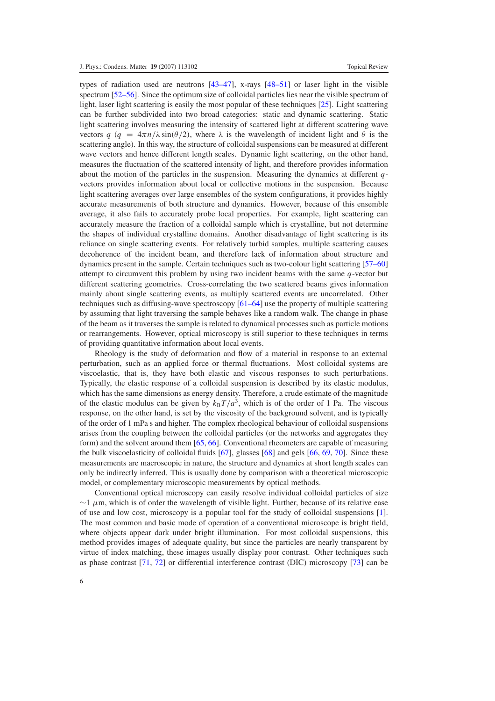types of radiation used are neutrons [\[43–47\]](#page-20-9), x-rays [\[48–51\]](#page-20-10) or laser light in the visible spectrum [\[52–56\]](#page-20-11). Since the optimum size of colloidal particles lies near the visible spectrum of light, laser light scattering is easily the most popular of these techniques [\[25\]](#page-19-15). Light scattering can be further subdivided into two broad categories: static and dynamic scattering. Static light scattering involves measuring the intensity of scattered light at different scattering wave vectors  $q$  ( $q = 4\pi n/\lambda \sin(\theta/2)$ , where  $\lambda$  is the wavelength of incident light and  $\theta$  is the scattering angle). In this way, the structure of colloidal suspensions can be measured at different wave vectors and hence different length scales. Dynamic light scattering, on the other hand, measures the fluctuation of the scattered intensity of light, and therefore provides information about the motion of the particles in the suspension. Measuring the dynamics at different *q*vectors provides information about local or collective motions in the suspension. Because light scattering averages over large ensembles of the system configurations, it provides highly accurate measurements of both structure and dynamics. However, because of this ensemble average, it also fails to accurately probe local properties. For example, light scattering can accurately measure the fraction of a colloidal sample which is crystalline, but not determine the shapes of individual crystalline domains. Another disadvantage of light scattering is its reliance on single scattering events. For relatively turbid samples, multiple scattering causes decoherence of the incident beam, and therefore lack of information about structure and dynamics present in the sample. Certain techniques such as two-colour light scattering [\[57–60\]](#page-21-0) attempt to circumvent this problem by using two incident beams with the same *q*-vector but different scattering geometries. Cross-correlating the two scattered beams gives information mainly about single scattering events, as multiply scattered events are uncorrelated. Other techniques such as diffusing-wave spectroscopy [\[61–64\]](#page-21-1) use the property of multiple scattering by assuming that light traversing the sample behaves like a random walk. The change in phase of the beam as it traverses the sample is related to dynamical processes such as particle motions or rearrangements. However, optical microscopy is still superior to these techniques in terms of providing quantitative information about local events.

Rheology is the study of deformation and flow of a material in response to an external perturbation, such as an applied force or thermal fluctuations. Most colloidal systems are viscoelastic, that is, they have both elastic and viscous responses to such perturbations. Typically, the elastic response of a colloidal suspension is described by its elastic modulus, which has the same dimensions as energy density. Therefore, a crude estimate of the magnitude of the elastic modulus can be given by  $k_B T/a^3$ , which is of the order of 1 Pa. The viscous response, on the other hand, is set by the viscosity of the background solvent, and is typically of the order of 1 mPa s and higher. The complex rheological behaviour of colloidal suspensions arises from the coupling between the colloidal particles (or the networks and aggregates they form) and the solvent around them [\[65,](#page-21-2) [66\]](#page-21-3). Conventional rheometers are capable of measuring the bulk viscoelasticity of colloidal fluids [\[67\]](#page-21-4), glasses [\[68\]](#page-21-5) and gels [\[66,](#page-21-3) [69,](#page-21-6) [70\]](#page-21-7). Since these measurements are macroscopic in nature, the structure and dynamics at short length scales can only be indirectly inferred. This is usually done by comparison with a theoretical microscopic model, or complementary microscopic measurements by optical methods.

Conventional optical microscopy can easily resolve individual colloidal particles of size  $\sim$ 1  $\mu$ m, which is of order the wavelength of visible light. Further, because of its relative ease of use and low cost, microscopy is a popular tool for the study of colloidal suspensions [\[1\]](#page-19-2). The most common and basic mode of operation of a conventional microscope is bright field, where objects appear dark under bright illumination. For most colloidal suspensions, this method provides images of adequate quality, but since the particles are nearly transparent by virtue of index matching, these images usually display poor contrast. Other techniques such as phase contrast [\[71,](#page-21-8) [72\]](#page-21-9) or differential interference contrast (DIC) microscopy [\[73\]](#page-21-10) can be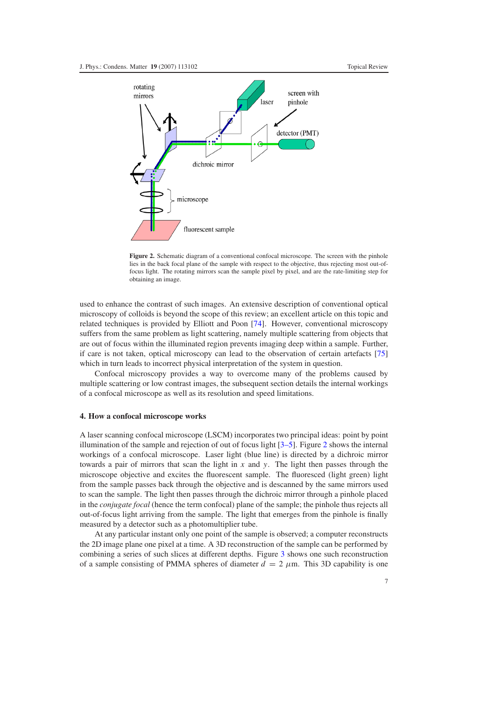<span id="page-6-1"></span>

**Figure 2.** Schematic diagram of a conventional confocal microscope. The screen with the pinhole lies in the back focal plane of the sample with respect to the objective, thus rejecting most out-offocus light. The rotating mirrors scan the sample pixel by pixel, and are the rate-limiting step for obtaining an image.

used to enhance the contrast of such images. An extensive description of conventional optical microscopy of colloids is beyond the scope of this review; an excellent article on this topic and related techniques is provided by Elliott and Poon [\[74\]](#page-21-11). However, conventional microscopy suffers from the same problem as light scattering, namely multiple scattering from objects that are out of focus within the illuminated region prevents imaging deep within a sample. Further, if care is not taken, optical microscopy can lead to the observation of certain artefacts [\[75\]](#page-21-12) which in turn leads to incorrect physical interpretation of the system in question.

<span id="page-6-0"></span>Confocal microscopy provides a way to overcome many of the problems caused by multiple scattering or low contrast images, the subsequent section details the internal workings of a confocal microscope as well as its resolution and speed limitations.

# **4. How a confocal microscope works**

A laser scanning confocal microscope (LSCM) incorporates two principal ideas: point by point illumination of the sample and rejection of out of focus light [\[3–5\]](#page-19-4). Figure [2](#page-6-1) shows the internal workings of a confocal microscope. Laser light (blue line) is directed by a dichroic mirror towards a pair of mirrors that scan the light in *x* and *y*. The light then passes through the microscope objective and excites the fluorescent sample. The fluoresced (light green) light from the sample passes back through the objective and is descanned by the same mirrors used to scan the sample. The light then passes through the dichroic mirror through a pinhole placed in the *conjugate focal* (hence the term confocal) plane of the sample; the pinhole thus rejects all out-of-focus light arriving from the sample. The light that emerges from the pinhole is finally measured by a detector such as a photomultiplier tube.

At any particular instant only one point of the sample is observed; a computer reconstructs the 2D image plane one pixel at a time. A 3D reconstruction of the sample can be performed by combining a series of such slices at different depths. Figure [3](#page-7-1) shows one such reconstruction of a sample consisting of PMMA spheres of diameter  $d = 2 \mu m$ . This 3D capability is one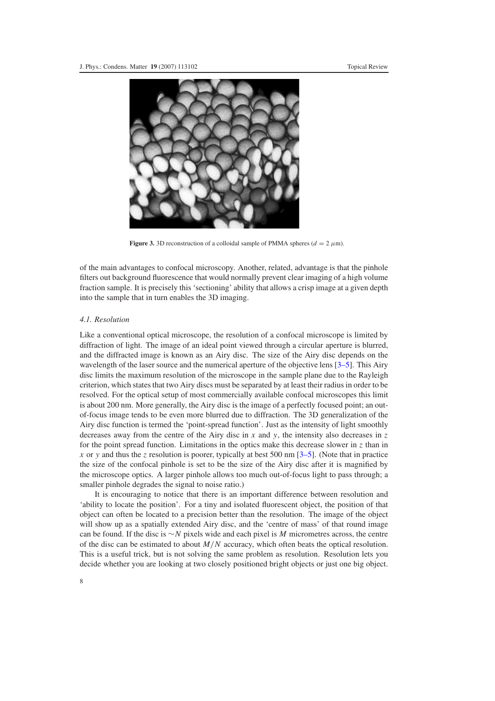<span id="page-7-1"></span>

**Figure 3.** 3D reconstruction of a colloidal sample of PMMA spheres ( $d = 2 \mu m$ ).

<span id="page-7-0"></span>of the main advantages to confocal microscopy. Another, related, advantage is that the pinhole filters out background fluorescence that would normally prevent clear imaging of a high volume fraction sample. It is precisely this 'sectioning' ability that allows a crisp image at a given depth into the sample that in turn enables the 3D imaging.

# *4.1. Resolution*

Like a conventional optical microscope, the resolution of a confocal microscope is limited by diffraction of light. The image of an ideal point viewed through a circular aperture is blurred, and the diffracted image is known as an Airy disc. The size of the Airy disc depends on the wavelength of the laser source and the numerical aperture of the objective lens [\[3–5\]](#page-19-4). This Airy disc limits the maximum resolution of the microscope in the sample plane due to the Rayleigh criterion, which states that two Airy discs must be separated by at least their radius in order to be resolved. For the optical setup of most commercially available confocal microscopes this limit is about 200 nm. More generally, the Airy disc is the image of a perfectly focused point; an outof-focus image tends to be even more blurred due to diffraction. The 3D generalization of the Airy disc function is termed the 'point-spread function'. Just as the intensity of light smoothly decreases away from the centre of the Airy disc in  $x$  and  $y$ , the intensity also decreases in  $z$ for the point spread function. Limitations in the optics make this decrease slower in *z* than in *x* or *y* and thus the *z* resolution is poorer, typically at best 500 nm [\[3–5\]](#page-19-4). (Note that in practice the size of the confocal pinhole is set to be the size of the Airy disc after it is magnified by the microscope optics. A larger pinhole allows too much out-of-focus light to pass through; a smaller pinhole degrades the signal to noise ratio.)

It is encouraging to notice that there is an important difference between resolution and 'ability to locate the position'. For a tiny and isolated fluorescent object, the position of that object can often be located to a precision better than the resolution. The image of the object will show up as a spatially extended Airy disc, and the 'centre of mass' of that round image can be found. If the disc is ∼*N* pixels wide and each pixel is *M* micrometres across, the centre of the disc can be estimated to about *M*/*N* accuracy, which often beats the optical resolution. This is a useful trick, but is not solving the same problem as resolution. Resolution lets you decide whether you are looking at two closely positioned bright objects or just one big object.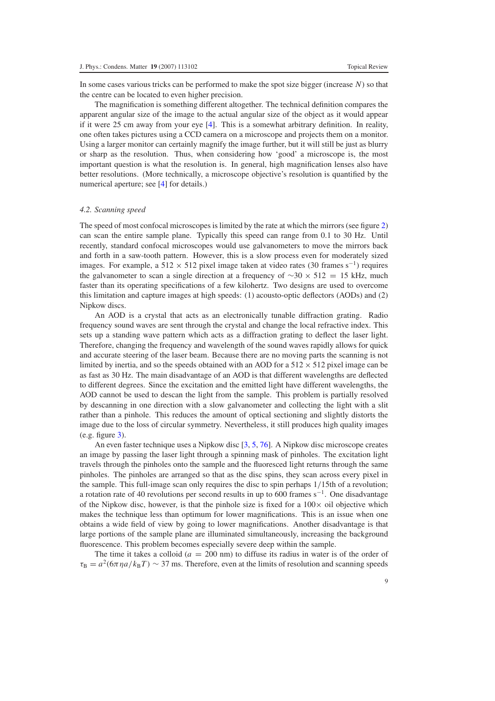In some cases various tricks can be performed to make the spot size bigger (increase *N*) so that the centre can be located to even higher precision.

<span id="page-8-0"></span>The magnification is something different altogether. The technical definition compares the apparent angular size of the image to the actual angular size of the object as it would appear if it were 25 cm away from your eye [\[4\]](#page-19-16). This is a somewhat arbitrary definition. In reality, one often takes pictures using a CCD camera on a microscope and projects them on a monitor. Using a larger monitor can certainly magnify the image further, but it will still be just as blurry or sharp as the resolution. Thus, when considering how 'good' a microscope is, the most important question is what the resolution is. In general, high magnification lenses also have better resolutions. (More technically, a microscope objective's resolution is quantified by the numerical aperture; see [\[4\]](#page-19-16) for details.)

#### *4.2. Scanning speed*

The speed of most confocal microscopes is limited by the rate at which the mirrors (see figure [2\)](#page-6-1) can scan the entire sample plane. Typically this speed can range from 0.1 to 30 Hz. Until recently, standard confocal microscopes would use galvanometers to move the mirrors back and forth in a saw-tooth pattern. However, this is a slow process even for moderately sized images. For example, a 512 × 512 pixel image taken at video rates (30 frames s<sup>−1</sup>) requires the galvanometer to scan a single direction at a frequency of  $\sim$ 30 × 512 = 15 kHz, much faster than its operating specifications of a few kilohertz. Two designs are used to overcome this limitation and capture images at high speeds: (1) acousto-optic deflectors (AODs) and (2) Nipkow discs.

An AOD is a crystal that acts as an electronically tunable diffraction grating. Radio frequency sound waves are sent through the crystal and change the local refractive index. This sets up a standing wave pattern which acts as a diffraction grating to deflect the laser light. Therefore, changing the frequency and wavelength of the sound waves rapidly allows for quick and accurate steering of the laser beam. Because there are no moving parts the scanning is not limited by inertia, and so the speeds obtained with an AOD for a  $512 \times 512$  pixel image can be as fast as 30 Hz. The main disadvantage of an AOD is that different wavelengths are deflected to different degrees. Since the excitation and the emitted light have different wavelengths, the AOD cannot be used to descan the light from the sample. This problem is partially resolved by descanning in one direction with a slow galvanometer and collecting the light with a slit rather than a pinhole. This reduces the amount of optical sectioning and slightly distorts the image due to the loss of circular symmetry. Nevertheless, it still produces high quality images (e.g. figure [3\)](#page-7-1).

An even faster technique uses a Nipkow disc [\[3,](#page-19-4) [5,](#page-19-17) [76\]](#page-21-13). A Nipkow disc microscope creates an image by passing the laser light through a spinning mask of pinholes. The excitation light travels through the pinholes onto the sample and the fluoresced light returns through the same pinholes. The pinholes are arranged so that as the disc spins, they scan across every pixel in the sample. This full-image scan only requires the disc to spin perhaps 1/15th of a revolution; a rotation rate of 40 revolutions per second results in up to 600 frames s<sup>−</sup>1. One disadvantage of the Nipkow disc, however, is that the pinhole size is fixed for a  $100 \times$  oil objective which makes the technique less than optimum for lower magnifications. This is an issue when one obtains a wide field of view by going to lower magnifications. Another disadvantage is that large portions of the sample plane are illuminated simultaneously, increasing the background fluorescence. This problem becomes especially severe deep within the sample.

The time it takes a colloid  $(a = 200 \text{ nm})$  to diffuse its radius in water is of the order of  $\tau_B = a^2(6\pi \eta a / k_B T) \sim 37$  ms. Therefore, even at the limits of resolution and scanning speeds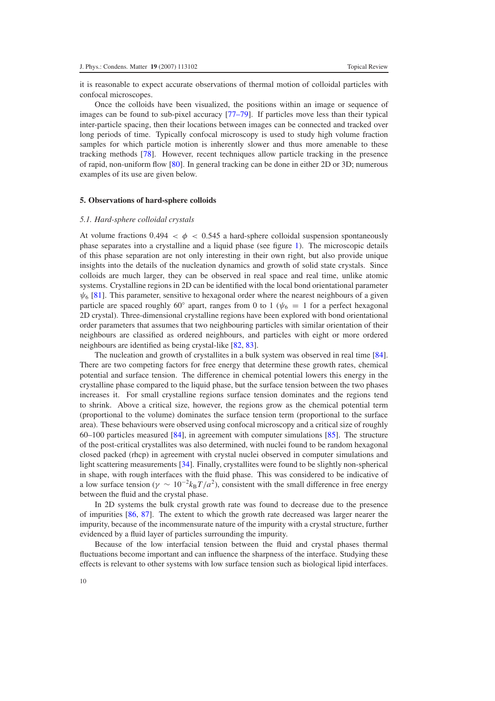it is reasonable to expect accurate observations of thermal motion of colloidal particles with confocal microscopes.

<span id="page-9-0"></span>Once the colloids have been visualized, the positions within an image or sequence of images can be found to sub-pixel accuracy [\[77–79\]](#page-21-14). If particles move less than their typical inter-particle spacing, then their locations between images can be connected and tracked over long periods of time. Typically confocal microscopy is used to study high volume fraction samples for which particle motion is inherently slower and thus more amenable to these tracking methods [\[78\]](#page-21-15). However, recent techniques allow particle tracking in the presence of rapid, non-uniform flow [\[80\]](#page-21-16). In general tracking can be done in either 2D or 3D; numerous examples of its use are given below.

#### <span id="page-9-1"></span>**5. Observations of hard-sphere colloids**

#### *5.1. Hard-sphere colloidal crystals*

At volume fractions  $0.494 < \phi < 0.545$  a hard-sphere colloidal suspension spontaneously phase separates into a crystalline and a liquid phase (see figure [1\)](#page-3-1). The microscopic details of this phase separation are not only interesting in their own right, but also provide unique insights into the details of the nucleation dynamics and growth of solid state crystals. Since colloids are much larger, they can be observed in real space and real time, unlike atomic systems. Crystalline regions in 2D can be identified with the local bond orientational parameter  $\psi_6$  [\[81\]](#page-21-17). This parameter, sensitive to hexagonal order where the nearest neighbours of a given particle are spaced roughly 60° apart, ranges from 0 to 1 ( $\psi_6 = 1$  for a perfect hexagonal 2D crystal). Three-dimensional crystalline regions have been explored with bond orientational order parameters that assumes that two neighbouring particles with similar orientation of their neighbours are classified as ordered neighbours, and particles with eight or more ordered neighbours are identified as being crystal-like [\[82,](#page-21-18) [83\]](#page-21-19).

The nucleation and growth of crystallites in a bulk system was observed in real time [\[84\]](#page-21-20). There are two competing factors for free energy that determine these growth rates, chemical potential and surface tension. The difference in chemical potential lowers this energy in the crystalline phase compared to the liquid phase, but the surface tension between the two phases increases it. For small crystalline regions surface tension dominates and the regions tend to shrink. Above a critical size, however, the regions grow as the chemical potential term (proportional to the volume) dominates the surface tension term (proportional to the surface area). These behaviours were observed using confocal microscopy and a critical size of roughly 60–100 particles measured [\[84\]](#page-21-20), in agreement with computer simulations [\[85\]](#page-21-21). The structure of the post-critical crystallites was also determined, with nuclei found to be random hexagonal closed packed (rhcp) in agreement with crystal nuclei observed in computer simulations and light scattering measurements [\[34\]](#page-20-3). Finally, crystallites were found to be slightly non-spherical in shape, with rough interfaces with the fluid phase. This was considered to be indicative of a low surface tension ( $\gamma \sim 10^{-2} k_B T/a^2$ ), consistent with the small difference in free energy between the fluid and the crystal phase.

In 2D systems the bulk crystal growth rate was found to decrease due to the presence of impurities [\[86,](#page-21-22) [87\]](#page-22-0). The extent to which the growth rate decreased was larger nearer the impurity, because of the incommensurate nature of the impurity with a crystal structure, further evidenced by a fluid layer of particles surrounding the impurity.

Because of the low interfacial tension between the fluid and crystal phases thermal fluctuations become important and can influence the sharpness of the interface. Studying these effects is relevant to other systems with low surface tension such as biological lipid interfaces.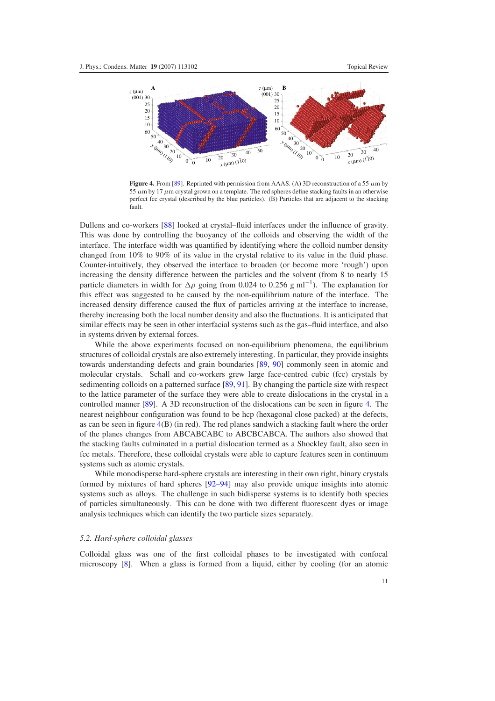<span id="page-10-1"></span>

**Figure 4.** From [\[89\]](#page-22-1). Reprinted with permission from AAAS. (A) 3D reconstruction of a 55  $\mu$ m by 55  $\mu$ m by 17  $\mu$ m crystal grown on a template. The red spheres define stacking faults in an otherwise perfect fcc crystal (described by the blue particles). (B) Particles that are adjacent to the stacking fault.

Dullens and co-workers [\[88\]](#page-22-2) looked at crystal–fluid interfaces under the influence of gravity. This was done by controlling the buoyancy of the colloids and observing the width of the interface. The interface width was quantified by identifying where the colloid number density changed from 10% to 90% of its value in the crystal relative to its value in the fluid phase. Counter-intuitively, they observed the interface to broaden (or become more 'rough') upon increasing the density difference between the particles and the solvent (from 8 to nearly 15 particle diameters in width for  $\Delta \rho$  going from 0.024 to 0.256 g ml<sup>-1</sup>). The explanation for this effect was suggested to be caused by the non-equilibrium nature of the interface. The increased density difference caused the flux of particles arriving at the interface to increase, thereby increasing both the local number density and also the fluctuations. It is anticipated that similar effects may be seen in other interfacial systems such as the gas–fluid interface, and also in systems driven by external forces.

While the above experiments focused on non-equilibrium phenomena, the equilibrium structures of colloidal crystals are also extremely interesting. In particular, they provide insights towards understanding defects and grain boundaries [\[89,](#page-22-1) [90\]](#page-22-3) commonly seen in atomic and molecular crystals. Schall and co-workers grew large face-centred cubic (fcc) crystals by sedimenting colloids on a patterned surface [\[89,](#page-22-1) [91\]](#page-22-4). By changing the particle size with respect to the lattice parameter of the surface they were able to create dislocations in the crystal in a controlled manner [\[89\]](#page-22-1). A 3D reconstruction of the dislocations can be seen in figure [4.](#page-10-1) The nearest neighbour configuration was found to be hcp (hexagonal close packed) at the defects, as can be seen in figure  $4(B)$  $4(B)$  (in red). The red planes sandwich a stacking fault where the order of the planes changes from ABCABCABC to ABCBCABCA. The authors also showed that the stacking faults culminated in a partial dislocation termed as a Shockley fault, also seen in fcc metals. Therefore, these colloidal crystals were able to capture features seen in continuum systems such as atomic crystals.

<span id="page-10-0"></span>While monodisperse hard-sphere crystals are interesting in their own right, binary crystals formed by mixtures of hard spheres [\[92–94\]](#page-22-5) may also provide unique insights into atomic systems such as alloys. The challenge in such bidisperse systems is to identify both species of particles simultaneously. This can be done with two different fluorescent dyes or image analysis techniques which can identify the two particle sizes separately.

# *5.2. Hard-sphere colloidal glasses*

Colloidal glass was one of the first colloidal phases to be investigated with confocal microscopy [\[8\]](#page-19-7). When a glass is formed from a liquid, either by cooling (for an atomic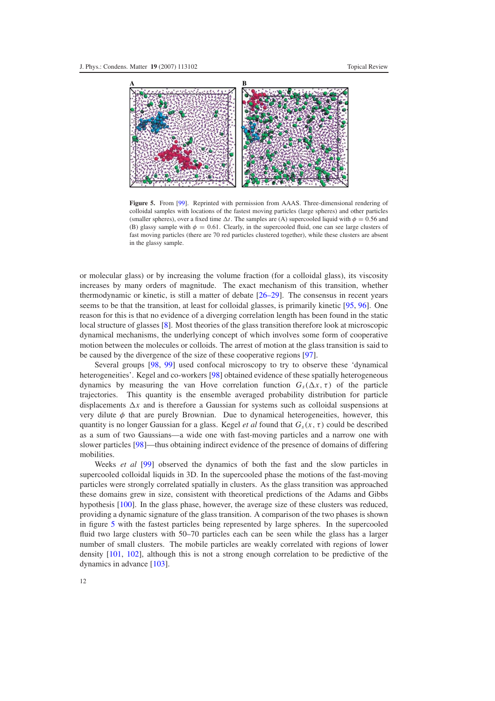<span id="page-11-0"></span>

**Figure 5.** From [\[99\]](#page-22-6). Reprinted with permission from AAAS. Three-dimensional rendering of colloidal samples with locations of the fastest moving particles (large spheres) and other particles (smaller spheres), over a fixed time  $\Delta t$ . The samples are (A) supercooled liquid with  $\phi = 0.56$  and (B) glassy sample with  $\phi = 0.61$ . Clearly, in the supercooled fluid, one can see large clusters of fast moving particles (there are 70 red particles clustered together), while these clusters are absent in the glassy sample.

or molecular glass) or by increasing the volume fraction (for a colloidal glass), its viscosity increases by many orders of magnitude. The exact mechanism of this transition, whether thermodynamic or kinetic, is still a matter of debate [\[26–29\]](#page-20-0). The consensus in recent years seems to be that the transition, at least for colloidal glasses, is primarily kinetic [\[95,](#page-22-7) [96\]](#page-22-8). One reason for this is that no evidence of a diverging correlation length has been found in the static local structure of glasses [\[8\]](#page-19-7). Most theories of the glass transition therefore look at microscopic dynamical mechanisms, the underlying concept of which involves some form of cooperative motion between the molecules or colloids. The arrest of motion at the glass transition is said to be caused by the divergence of the size of these cooperative regions [\[97\]](#page-22-9).

Several groups [\[98,](#page-22-10) [99\]](#page-22-6) used confocal microscopy to try to observe these 'dynamical heterogeneities'. Kegel and co-workers [\[98\]](#page-22-10) obtained evidence of these spatially heterogeneous dynamics by measuring the van Hove correlation function  $G_s(\Delta x, \tau)$  of the particle trajectories. This quantity is the ensemble averaged probability distribution for particle displacements  $\Delta x$  and is therefore a Gaussian for systems such as colloidal suspensions at very dilute  $\phi$  that are purely Brownian. Due to dynamical heterogeneities, however, this quantity is no longer Gaussian for a glass. Kegel *et al* found that  $G_s(x, \tau)$  could be described as a sum of two Gaussians—a wide one with fast-moving particles and a narrow one with slower particles [\[98\]](#page-22-10)—thus obtaining indirect evidence of the presence of domains of differing mobilities.

Weeks *et al* [\[99\]](#page-22-6) observed the dynamics of both the fast and the slow particles in supercooled colloidal liquids in 3D. In the supercooled phase the motions of the fast-moving particles were strongly correlated spatially in clusters. As the glass transition was approached these domains grew in size, consistent with theoretical predictions of the Adams and Gibbs hypothesis [\[100\]](#page-22-11). In the glass phase, however, the average size of these clusters was reduced, providing a dynamic signature of the glass transition. A comparison of the two phases is shown in figure [5](#page-11-0) with the fastest particles being represented by large spheres. In the supercooled fluid two large clusters with 50–70 particles each can be seen while the glass has a larger number of small clusters. The mobile particles are weakly correlated with regions of lower density [\[101,](#page-22-12) [102\]](#page-22-13), although this is not a strong enough correlation to be predictive of the dynamics in advance [\[103\]](#page-22-14).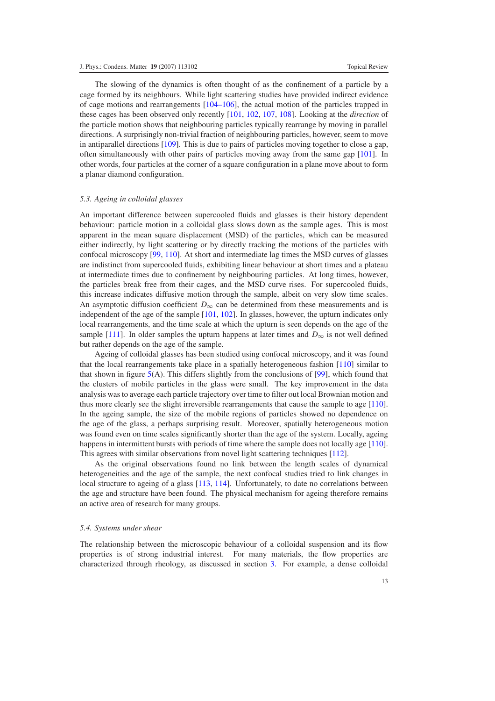The slowing of the dynamics is often thought of as the confinement of a particle by a cage formed by its neighbours. While light scattering studies have provided indirect evidence of cage motions and rearrangements [\[104–106\]](#page-22-15), the actual motion of the particles trapped in these cages has been observed only recently [\[101,](#page-22-12) [102,](#page-22-13) [107,](#page-22-16) [108\]](#page-22-17). Looking at the *direction* of the particle motion shows that neighbouring particles typically rearrange by moving in parallel directions. A surprisingly non-trivial fraction of neighbouring particles, however, seem to move in antiparallel directions  $[109]$ . This is due to pairs of particles moving together to close a gap, often simultaneously with other pairs of particles moving away from the same gap [\[101\]](#page-22-12). In other words, four particles at the corner of a square configuration in a plane move about to form a planar diamond configuration.

# <span id="page-12-0"></span>*5.3. Ageing in colloidal glasses*

An important difference between supercooled fluids and glasses is their history dependent behaviour: particle motion in a colloidal glass slows down as the sample ages. This is most apparent in the mean square displacement (MSD) of the particles, which can be measured either indirectly, by light scattering or by directly tracking the motions of the particles with confocal microscopy [\[99,](#page-22-6) [110\]](#page-22-19). At short and intermediate lag times the MSD curves of glasses are indistinct from supercooled fluids, exhibiting linear behaviour at short times and a plateau at intermediate times due to confinement by neighbouring particles. At long times, however, the particles break free from their cages, and the MSD curve rises. For supercooled fluids, this increase indicates diffusive motion through the sample, albeit on very slow time scales. An asymptotic diffusion coefficient  $D_{\infty}$  can be determined from these measurements and is independent of the age of the sample [\[101,](#page-22-12) [102\]](#page-22-13). In glasses, however, the upturn indicates only local rearrangements, and the time scale at which the upturn is seen depends on the age of the sample [\[111\]](#page-22-20). In older samples the upturn happens at later times and  $D_{\infty}$  is not well defined but rather depends on the age of the sample.

Ageing of colloidal glasses has been studied using confocal microscopy, and it was found that the local rearrangements take place in a spatially heterogeneous fashion [\[110\]](#page-22-19) similar to that shown in figure  $5(A)$  $5(A)$ . This differs slightly from the conclusions of [\[99\]](#page-22-6), which found that the clusters of mobile particles in the glass were small. The key improvement in the data analysis was to average each particle trajectory over time to filter out local Brownian motion and thus more clearly see the slight irreversible rearrangements that cause the sample to age [\[110\]](#page-22-19). In the ageing sample, the size of the mobile regions of particles showed no dependence on the age of the glass, a perhaps surprising result. Moreover, spatially heterogeneous motion was found even on time scales significantly shorter than the age of the system. Locally, ageing happens in intermittent bursts with periods of time where the sample does not locally age [\[110\]](#page-22-19). This agrees with similar observations from novel light scattering techniques [\[112\]](#page-22-21).

<span id="page-12-1"></span>As the original observations found no link between the length scales of dynamical heterogeneities and the age of the sample, the next confocal studies tried to link changes in local structure to ageing of a glass [\[113,](#page-22-22) [114\]](#page-22-23). Unfortunately, to date no correlations between the age and structure have been found. The physical mechanism for ageing therefore remains an active area of research for many groups.

#### *5.4. Systems under shear*

The relationship between the microscopic behaviour of a colloidal suspension and its flow properties is of strong industrial interest. For many materials, the flow properties are characterized through rheology, as discussed in section [3.](#page-4-0) For example, a dense colloidal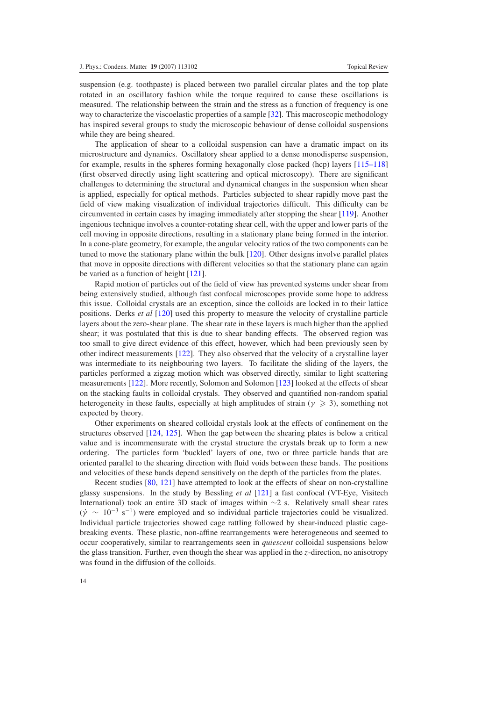suspension (e.g. toothpaste) is placed between two parallel circular plates and the top plate rotated in an oscillatory fashion while the torque required to cause these oscillations is measured. The relationship between the strain and the stress as a function of frequency is one way to characterize the viscoelastic properties of a sample [\[32\]](#page-20-4). This macroscopic methodology has inspired several groups to study the microscopic behaviour of dense colloidal suspensions while they are being sheared.

The application of shear to a colloidal suspension can have a dramatic impact on its microstructure and dynamics. Oscillatory shear applied to a dense monodisperse suspension, for example, results in the spheres forming hexagonally close packed (hcp) layers [\[115–118\]](#page-22-24) (first observed directly using light scattering and optical microscopy). There are significant challenges to determining the structural and dynamical changes in the suspension when shear is applied, especially for optical methods. Particles subjected to shear rapidly move past the field of view making visualization of individual trajectories difficult. This difficulty can be circumvented in certain cases by imaging immediately after stopping the shear [\[119\]](#page-23-0). Another ingenious technique involves a counter-rotating shear cell, with the upper and lower parts of the cell moving in opposite directions, resulting in a stationary plane being formed in the interior. In a cone-plate geometry, for example, the angular velocity ratios of the two components can be tuned to move the stationary plane within the bulk [\[120\]](#page-23-1). Other designs involve parallel plates that move in opposite directions with different velocities so that the stationary plane can again be varied as a function of height [\[121\]](#page-23-2).

Rapid motion of particles out of the field of view has prevented systems under shear from being extensively studied, although fast confocal microscopes provide some hope to address this issue. Colloidal crystals are an exception, since the colloids are locked in to their lattice positions. Derks *et al* [\[120\]](#page-23-1) used this property to measure the velocity of crystalline particle layers about the zero-shear plane. The shear rate in these layers is much higher than the applied shear; it was postulated that this is due to shear banding effects. The observed region was too small to give direct evidence of this effect, however, which had been previously seen by other indirect measurements [\[122\]](#page-23-3). They also observed that the velocity of a crystalline layer was intermediate to its neighbouring two layers. To facilitate the sliding of the layers, the particles performed a zigzag motion which was observed directly, similar to light scattering measurements [\[122\]](#page-23-3). More recently, Solomon and Solomon [\[123\]](#page-23-4) looked at the effects of shear on the stacking faults in colloidal crystals. They observed and quantified non-random spatial heterogeneity in these faults, especially at high amplitudes of strain ( $\gamma \geqslant 3$ ), something not expected by theory.

Other experiments on sheared colloidal crystals look at the effects of confinement on the structures observed [\[124,](#page-23-5) [125\]](#page-23-6). When the gap between the shearing plates is below a critical value and is incommensurate with the crystal structure the crystals break up to form a new ordering. The particles form 'buckled' layers of one, two or three particle bands that are oriented parallel to the shearing direction with fluid voids between these bands. The positions and velocities of these bands depend sensitively on the depth of the particles from the plates.

Recent studies [\[80,](#page-21-16) [121\]](#page-23-2) have attempted to look at the effects of shear on non-crystalline glassy suspensions. In the study by Bessling *et al* [\[121\]](#page-23-2) a fast confocal (VT-Eye, Visitech International) took an entire 3D stack of images within ∼2 s. Relatively small shear rates  $(\dot{\gamma} \sim 10^{-3} \text{ s}^{-1})$  were employed and so individual particle trajectories could be visualized. Individual particle trajectories showed cage rattling followed by shear-induced plastic cagebreaking events. These plastic, non-affine rearrangements were heterogeneous and seemed to occur cooperatively, similar to rearrangements seen in *quiescent* colloidal suspensions below the glass transition. Further, even though the shear was applied in the *z*-direction, no anisotropy was found in the diffusion of the colloids.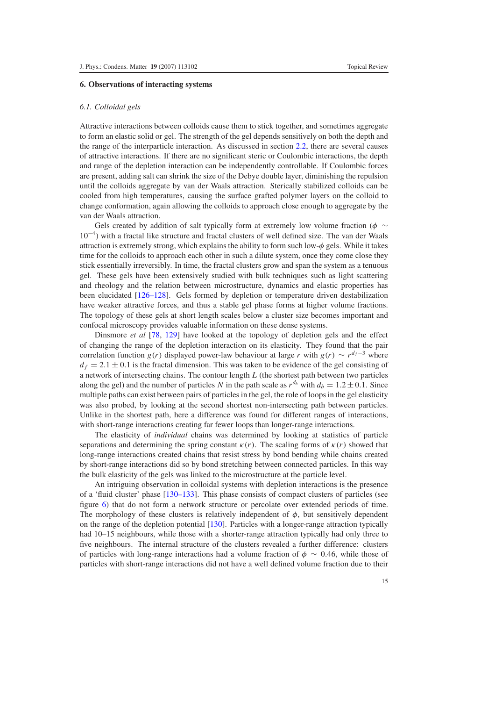# <span id="page-14-1"></span><span id="page-14-0"></span>**6. Observations of interacting systems**

## *6.1. Colloidal gels*

Attractive interactions between colloids cause them to stick together, and sometimes aggregate to form an elastic solid or gel. The strength of the gel depends sensitively on both the depth and the range of the interparticle interaction. As discussed in section [2.2,](#page-3-0) there are several causes of attractive interactions. If there are no significant steric or Coulombic interactions, the depth and range of the depletion interaction can be independently controllable. If Coulombic forces are present, adding salt can shrink the size of the Debye double layer, diminishing the repulsion until the colloids aggregate by van der Waals attraction. Sterically stabilized colloids can be cooled from high temperatures, causing the surface grafted polymer layers on the colloid to change conformation, again allowing the colloids to approach close enough to aggregate by the van der Waals attraction.

Gels created by addition of salt typically form at extremely low volume fraction ( $\phi \sim$  $10^{-4}$ ) with a fractal like structure and fractal clusters of well defined size. The van der Waals attraction is extremely strong, which explains the ability to form such low- $\phi$  gels. While it takes time for the colloids to approach each other in such a dilute system, once they come close they stick essentially irreversibly. In time, the fractal clusters grow and span the system as a tenuous gel. These gels have been extensively studied with bulk techniques such as light scattering and rheology and the relation between microstructure, dynamics and elastic properties has been elucidated [\[126–128\]](#page-23-7). Gels formed by depletion or temperature driven destabilization have weaker attractive forces, and thus a stable gel phase forms at higher volume fractions. The topology of these gels at short length scales below a cluster size becomes important and confocal microscopy provides valuable information on these dense systems.

Dinsmore *et al* [\[78,](#page-21-15) [129\]](#page-23-8) have looked at the topology of depletion gels and the effect of changing the range of the depletion interaction on its elasticity. They found that the pair correlation function *g*(*r*) displayed power-law behaviour at large *r* with  $g(r) \sim r^{d_f - 3}$  where  $d_f = 2.1 \pm 0.1$  is the fractal dimension. This was taken to be evidence of the gel consisting of a network of intersecting chains. The contour length *L* (the shortest path between two particles along the gel) and the number of particles *N* in the path scale as  $r^{d_b}$  with  $d_b = 1.2 \pm 0.1$ . Since multiple paths can exist between pairs of particles in the gel, the role of loops in the gel elasticity was also probed, by looking at the second shortest non-intersecting path between particles. Unlike in the shortest path, here a difference was found for different ranges of interactions, with short-range interactions creating far fewer loops than longer-range interactions.

The elasticity of *individual* chains was determined by looking at statistics of particle separations and determining the spring constant  $\kappa(r)$ . The scaling forms of  $\kappa(r)$  showed that long-range interactions created chains that resist stress by bond bending while chains created by short-range interactions did so by bond stretching between connected particles. In this way the bulk elasticity of the gels was linked to the microstructure at the particle level.

An intriguing observation in colloidal systems with depletion interactions is the presence of a 'fluid cluster' phase [\[130–133\]](#page-23-9). This phase consists of compact clusters of particles (see figure [6\)](#page-15-1) that do not form a network structure or percolate over extended periods of time. The morphology of these clusters is relatively independent of  $\phi$ , but sensitively dependent on the range of the depletion potential [\[130\]](#page-23-9). Particles with a longer-range attraction typically had 10–15 neighbours, while those with a shorter-range attraction typically had only three to five neighbours. The internal structure of the clusters revealed a further difference: clusters of particles with long-range interactions had a volume fraction of  $\phi \sim 0.46$ , while those of particles with short-range interactions did not have a well defined volume fraction due to their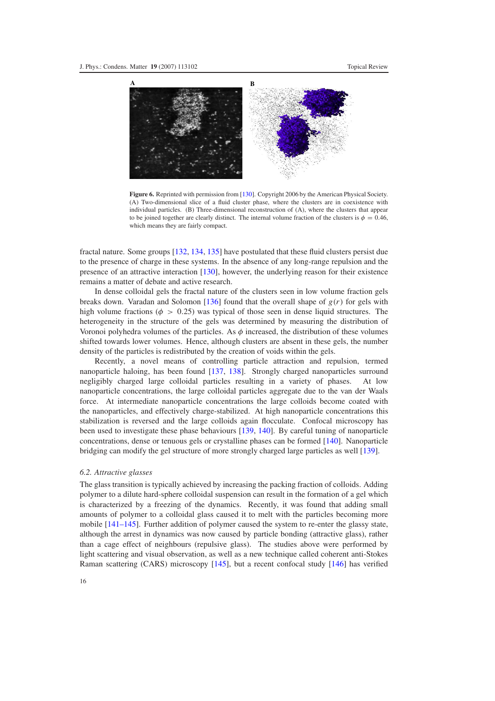<span id="page-15-1"></span>

**Figure 6.** Reprinted with permission from [\[130\]](#page-23-9). Copyright 2006 by the American Physical Society. (A) Two-dimensional slice of a fluid cluster phase, where the clusters are in coexistence with individual particles. (B) Three-dimensional reconstruction of (A), where the clusters that appear to be joined together are clearly distinct. The internal volume fraction of the clusters is  $\phi = 0.46$ , which means they are fairly compact.

fractal nature. Some groups [\[132,](#page-23-10) [134,](#page-23-11) [135\]](#page-23-12) have postulated that these fluid clusters persist due to the presence of charge in these systems. In the absence of any long-range repulsion and the presence of an attractive interaction [\[130\]](#page-23-9), however, the underlying reason for their existence remains a matter of debate and active research.

In dense colloidal gels the fractal nature of the clusters seen in low volume fraction gels breaks down. Varadan and Solomon [\[136\]](#page-23-13) found that the overall shape of  $g(r)$  for gels with high volume fractions ( $\phi > 0.25$ ) was typical of those seen in dense liquid structures. The heterogeneity in the structure of the gels was determined by measuring the distribution of Voronoi polyhedra volumes of the particles. As  $\phi$  increased, the distribution of these volumes shifted towards lower volumes. Hence, although clusters are absent in these gels, the number density of the particles is redistributed by the creation of voids within the gels.

Recently, a novel means of controlling particle attraction and repulsion, termed nanoparticle haloing, has been found [\[137,](#page-23-14) [138\]](#page-23-15). Strongly charged nanoparticles surround negligibly charged large colloidal particles resulting in a variety of phases. At low nanoparticle concentrations, the large colloidal particles aggregate due to the van der Waals force. At intermediate nanoparticle concentrations the large colloids become coated with the nanoparticles, and effectively charge-stabilized. At high nanoparticle concentrations this stabilization is reversed and the large colloids again flocculate. Confocal microscopy has been used to investigate these phase behaviours [\[139,](#page-23-16) [140\]](#page-23-17). By careful tuning of nanoparticle concentrations, dense or tenuous gels or crystalline phases can be formed [\[140\]](#page-23-17). Nanoparticle bridging can modify the gel structure of more strongly charged large particles as well [\[139\]](#page-23-16).

# <span id="page-15-0"></span>*6.2. Attractive glasses*

The glass transition is typically achieved by increasing the packing fraction of colloids. Adding polymer to a dilute hard-sphere colloidal suspension can result in the formation of a gel which is characterized by a freezing of the dynamics. Recently, it was found that adding small amounts of polymer to a colloidal glass caused it to melt with the particles becoming more mobile [\[141–145\]](#page-23-18). Further addition of polymer caused the system to re-enter the glassy state, although the arrest in dynamics was now caused by particle bonding (attractive glass), rather than a cage effect of neighbours (repulsive glass). The studies above were performed by light scattering and visual observation, as well as a new technique called coherent anti-Stokes Raman scattering (CARS) microscopy [\[145\]](#page-23-19), but a recent confocal study [\[146\]](#page-24-0) has verified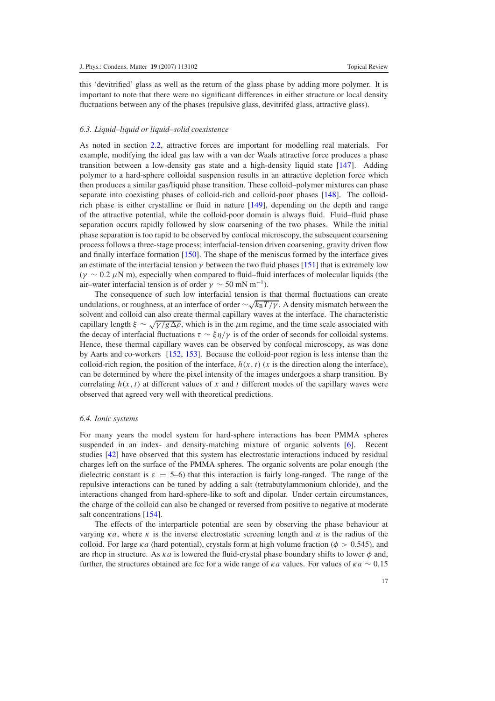<span id="page-16-0"></span>this 'devitrified' glass as well as the return of the glass phase by adding more polymer. It is important to note that there were no significant differences in either structure or local density fluctuations between any of the phases (repulsive glass, devitrifed glass, attractive glass).

#### *6.3. Liquid–liquid or liquid–solid coexistence*

As noted in section [2.2,](#page-3-0) attractive forces are important for modelling real materials. For example, modifying the ideal gas law with a van der Waals attractive force produces a phase transition between a low-density gas state and a high-density liquid state [\[147\]](#page-24-1). Adding polymer to a hard-sphere colloidal suspension results in an attractive depletion force which then produces a similar gas/liquid phase transition. These colloid–polymer mixtures can phase separate into coexisting phases of colloid-rich and colloid-poor phases [\[148\]](#page-24-2). The colloidrich phase is either crystalline or fluid in nature [\[149\]](#page-24-3), depending on the depth and range of the attractive potential, while the colloid-poor domain is always fluid. Fluid–fluid phase separation occurs rapidly followed by slow coarsening of the two phases. While the initial phase separation is too rapid to be observed by confocal microscopy, the subsequent coarsening process follows a three-stage process; interfacial-tension driven coarsening, gravity driven flow and finally interface formation [\[150\]](#page-24-4). The shape of the meniscus formed by the interface gives an estimate of the interfacial tension  $\gamma$  between the two fluid phases [\[151\]](#page-24-5) that is extremely low  $(γ \sim 0.2 \mu N$  m), especially when compared to fluid–fluid interfaces of molecular liquids (the air–water interfacial tension is of order  $\gamma \sim 50$  mN m<sup>-1</sup>).

The consequence of such low interfacial tension is that thermal fluctuations can create undulations, or roughness, at an interface of order  $\sim \sqrt{k_B T/\gamma}$ . A density mismatch between the solvent and colloid can also create thermal capillary waves at the interface. The characteristic capillary length  $\xi \sim \sqrt{\gamma/g\Delta\rho}$ , which is in the  $\mu$ m regime, and the time scale associated with the decay of interfacial fluctuations  $\tau \sim \xi \eta / \gamma$  is of the order of seconds for colloidal systems. Hence, these thermal capillary waves can be observed by confocal microscopy, as was done by Aarts and co-workers [\[152,](#page-24-6) [153\]](#page-24-7). Because the colloid-poor region is less intense than the colloid-rich region, the position of the interface,  $h(x, t)$  (*x* is the direction along the interface), can be determined by where the pixel intensity of the images undergoes a sharp transition. By correlating  $h(x, t)$  at different values of x and t different modes of the capillary waves were observed that agreed very well with theoretical predictions.

# <span id="page-16-1"></span>*6.4. Ionic systems*

For many years the model system for hard-sphere interactions has been PMMA spheres suspended in an index- and density-matching mixture of organic solvents [\[6\]](#page-19-5). Recent studies [\[42\]](#page-20-8) have observed that this system has electrostatic interactions induced by residual charges left on the surface of the PMMA spheres. The organic solvents are polar enough (the dielectric constant is  $\varepsilon = 5{\text -}6$ ) that this interaction is fairly long-ranged. The range of the repulsive interactions can be tuned by adding a salt (tetrabutylammonium chloride), and the interactions changed from hard-sphere-like to soft and dipolar. Under certain circumstances, the charge of the colloid can also be changed or reversed from positive to negative at moderate salt concentrations [\[154\]](#page-24-8).

The effects of the interparticle potential are seen by observing the phase behaviour at varying  $\kappa a$ , where  $\kappa$  is the inverse electrostatic screening length and *a* is the radius of the colloid. For large  $\kappa a$  (hard potential), crystals form at high volume fraction ( $\phi > 0.545$ ), and are rhcp in structure. As  $\kappa a$  is lowered the fluid-crystal phase boundary shifts to lower  $\phi$  and, further, the structures obtained are fcc for a wide range of  $\kappa a$  values. For values of  $\kappa a \sim 0.15$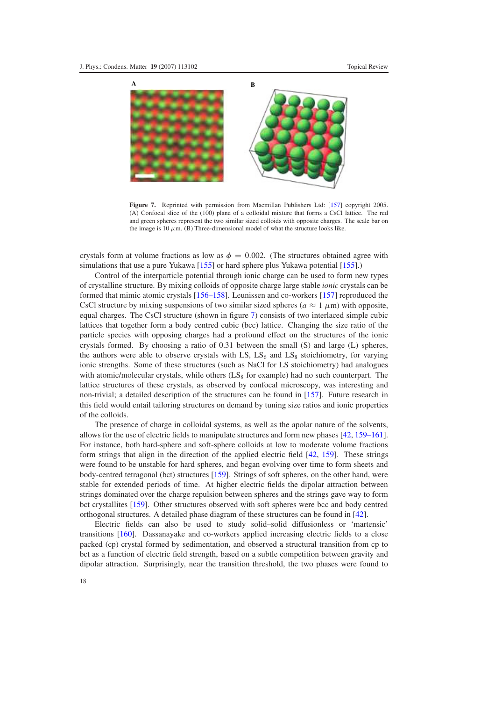<span id="page-17-0"></span>

Figure 7. Reprinted with permission from Macmillan Publishers Ltd: [\[157\]](#page-24-9) copyright 2005. (A) Confocal slice of the (100) plane of a colloidal mixture that forms a CsCl lattice. The red and green spheres represent the two similar sized colloids with opposite charges. The scale bar on the image is 10  $\mu$ m. (B) Three-dimensional model of what the structure looks like.

crystals form at volume fractions as low as  $\phi = 0.002$ . (The structures obtained agree with simulations that use a pure Yukawa [\[155\]](#page-24-10) or hard sphere plus Yukawa potential [\[155\]](#page-24-10).)

Control of the interparticle potential through ionic charge can be used to form new types of crystalline structure. By mixing colloids of opposite charge large stable *ionic* crystals can be formed that mimic atomic crystals [\[156–158\]](#page-24-11). Leunissen and co-workers [\[157\]](#page-24-9) reproduced the CsCl structure by mixing suspensions of two similar sized spheres ( $a \approx 1 \mu m$ ) with opposite, equal charges. The CsCl structure (shown in figure [7\)](#page-17-0) consists of two interlaced simple cubic lattices that together form a body centred cubic (bcc) lattice. Changing the size ratio of the particle species with opposing charges had a profound effect on the structures of the ionic crystals formed. By choosing a ratio of 0.31 between the small (S) and large (L) spheres, the authors were able to observe crystals with LS,  $LS_6$  and  $LS_8$  stoichiometry, for varying ionic strengths. Some of these structures (such as NaCl for LS stoichiometry) had analogues with atomic/molecular crystals, while others  $(LS_8$  for example) had no such counterpart. The lattice structures of these crystals, as observed by confocal microscopy, was interesting and non-trivial; a detailed description of the structures can be found in [\[157\]](#page-24-9). Future research in this field would entail tailoring structures on demand by tuning size ratios and ionic properties of the colloids.

The presence of charge in colloidal systems, as well as the apolar nature of the solvents, allows for the use of electric fields to manipulate structures and form new phases [\[42,](#page-20-8) [159–161\]](#page-24-12). For instance, both hard-sphere and soft-sphere colloids at low to moderate volume fractions form strings that align in the direction of the applied electric field [\[42,](#page-20-8) [159\]](#page-24-12). These strings were found to be unstable for hard spheres, and began evolving over time to form sheets and body-centred tetragonal (bct) structures [\[159\]](#page-24-12). Strings of soft spheres, on the other hand, were stable for extended periods of time. At higher electric fields the dipolar attraction between strings dominated over the charge repulsion between spheres and the strings gave way to form bct crystallites [\[159\]](#page-24-12). Other structures observed with soft spheres were bcc and body centred orthogonal structures. A detailed phase diagram of these structures can be found in [\[42\]](#page-20-8).

Electric fields can also be used to study solid–solid diffusionless or 'martensic' transitions [\[160\]](#page-24-13). Dassanayake and co-workers applied increasing electric fields to a close packed (cp) crystal formed by sedimentation, and observed a structural transition from cp to bct as a function of electric field strength, based on a subtle competition between gravity and dipolar attraction. Surprisingly, near the transition threshold, the two phases were found to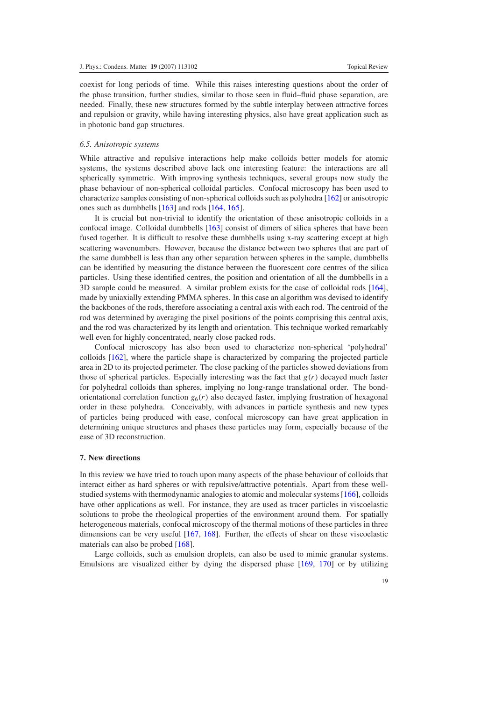<span id="page-18-0"></span>coexist for long periods of time. While this raises interesting questions about the order of the phase transition, further studies, similar to those seen in fluid–fluid phase separation, are needed. Finally, these new structures formed by the subtle interplay between attractive forces and repulsion or gravity, while having interesting physics, also have great application such as in photonic band gap structures.

# *6.5. Anisotropic systems*

While attractive and repulsive interactions help make colloids better models for atomic systems, the systems described above lack one interesting feature: the interactions are all spherically symmetric. With improving synthesis techniques, several groups now study the phase behaviour of non-spherical colloidal particles. Confocal microscopy has been used to characterize samples consisting of non-spherical colloids such as polyhedra [\[162\]](#page-24-14) or anisotropic ones such as dumbbells [\[163\]](#page-24-15) and rods [\[164,](#page-24-16) [165\]](#page-24-17).

It is crucial but non-trivial to identify the orientation of these anisotropic colloids in a confocal image. Colloidal dumbbells [\[163\]](#page-24-15) consist of dimers of silica spheres that have been fused together. It is difficult to resolve these dumbbells using x-ray scattering except at high scattering wavenumbers. However, because the distance between two spheres that are part of the same dumbbell is less than any other separation between spheres in the sample, dumbbells can be identified by measuring the distance between the fluorescent core centres of the silica particles. Using these identified centres, the position and orientation of all the dumbbells in a 3D sample could be measured. A similar problem exists for the case of colloidal rods [\[164\]](#page-24-16), made by uniaxially extending PMMA spheres. In this case an algorithm was devised to identify the backbones of the rods, therefore associating a central axis with each rod. The centroid of the rod was determined by averaging the pixel positions of the points comprising this central axis, and the rod was characterized by its length and orientation. This technique worked remarkably well even for highly concentrated, nearly close packed rods.

Confocal microscopy has also been used to characterize non-spherical 'polyhedral' colloids [\[162\]](#page-24-14), where the particle shape is characterized by comparing the projected particle area in 2D to its projected perimeter. The close packing of the particles showed deviations from those of spherical particles. Especially interesting was the fact that *g*(*r*) decayed much faster for polyhedral colloids than spheres, implying no long-range translational order. The bondorientational correlation function  $g_6(r)$  also decayed faster, implying frustration of hexagonal order in these polyhedra. Conceivably, with advances in particle synthesis and new types of particles being produced with ease, confocal microscopy can have great application in determining unique structures and phases these particles may form, especially because of the ease of 3D reconstruction.

# <span id="page-18-1"></span>**7. New directions**

In this review we have tried to touch upon many aspects of the phase behaviour of colloids that interact either as hard spheres or with repulsive/attractive potentials. Apart from these wellstudied systems with thermodynamic analogies to atomic and molecular systems [\[166\]](#page-24-18), colloids have other applications as well. For instance, they are used as tracer particles in viscoelastic solutions to probe the rheological properties of the environment around them. For spatially heterogeneous materials, confocal microscopy of the thermal motions of these particles in three dimensions can be very useful [\[167,](#page-24-19) [168\]](#page-24-20). Further, the effects of shear on these viscoelastic materials can also be probed [\[168\]](#page-24-20).

Large colloids, such as emulsion droplets, can also be used to mimic granular systems. Emulsions are visualized either by dying the dispersed phase [\[169,](#page-24-21) [170\]](#page-24-22) or by utilizing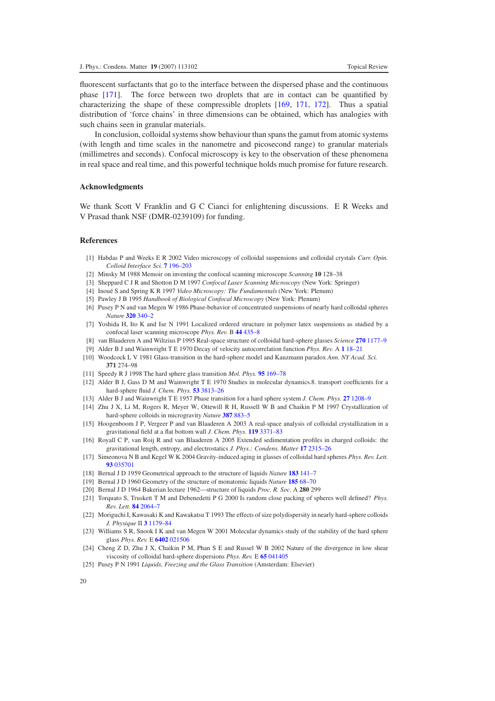fluorescent surfactants that go to the interface between the dispersed phase and the continuous phase [\[171\]](#page-24-23). The force between two droplets that are in contact can be quantified by characterizing the shape of these compressible droplets [\[169,](#page-24-21) [171,](#page-24-23) [172\]](#page-24-24). Thus a spatial distribution of 'force chains' in three dimensions can be obtained, which has analogies with such chains seen in granular materials.

<span id="page-19-0"></span>In conclusion, colloidal systems show behaviour than spans the gamut from atomic systems (with length and time scales in the nanometre and picosecond range) to granular materials (millimetres and seconds). Confocal microscopy is key to the observation of these phenomena in real space and real time, and this powerful technique holds much promise for future research.

#### <span id="page-19-1"></span>**Acknowledgments**

<span id="page-19-4"></span><span id="page-19-3"></span><span id="page-19-2"></span>We thank Scott V Franklin and G C Cianci for enlightening discussions. E R Weeks and V Prasad thank NSF (DMR-0239109) for funding.

# <span id="page-19-17"></span><span id="page-19-16"></span><span id="page-19-6"></span><span id="page-19-5"></span>**References**

- [1] Habdas P and Weeks E R 2002 Video microscopy of colloidal suspensions and colloidal crystals *Curr. Opin. Colloid Interface Sci.* **7** [196–203](http://dx.doi.org/10.1016/S1359-0294(02)00049-3)
- [2] Minsky M 1988 Memoir on inventing the confocal scanning microscope *Scanning* **10** 128–38
- <span id="page-19-7"></span>[3] Sheppard C J R and Shotton D M 1997 *Confocal Laser Scanning Microscopy* (New York: Springer)
- <span id="page-19-8"></span>[4] Inou´e S and Spring K R 1997 *Video Microscopy: The Fundamentals* (New York: Plenum)
- [5] Pawley J B 1995 *Handbook of Biological Confocal Microscopy* (New York: Plenum)
- [6] Pusey P N and van Megen W 1986 Phase-behavior of concentrated suspensions of nearly hard colloidal spheres *Nature* **320** [340–2](http://dx.doi.org/10.1038/320340a0)
- [7] Yoshida H, Ito K and Ise N 1991 Localized ordered structure in polymer latex suspensions as studied by a confocal laser scanning microscope *Phys. Rev.* B **44** [435–8](http://dx.doi.org/10.1103/PhysRevB.44.435)
- [8] van Blaaderen A and Wiltzius P 1995 Real-space structure of colloidal hard-sphere glasses *Science* **270** [1177–9](http://dx.doi.org/10.1126/science.270.5239.1177)
- [9] Alder B J and Wainwright T E 1970 Decay of velocity autocorrelation function *Phys. Rev.* A **1** [18–21](http://dx.doi.org/10.1103/PhysRevA.1.18)
- <span id="page-19-10"></span><span id="page-19-9"></span>[10] Woodcock L V 1981 Glass-transition in the hard-sphere model and Kauzmann paradox *Ann. NY Acad. Sci.* **371** 274–98
- [11] Speedy R J 1998 The hard sphere glass transition *Mol. Phys.* **95** [169–78](http://dx.doi.org/10.1080/002689798167089)
- [12] Alder B J, Gass D M and Wainwright T E 1970 Studies in molecular dynamics.8. transport coefficients for a hard-sphere fluid *J. Chem. Phys.* **53** [3813–26](http://dx.doi.org/10.1063/1.1673845)
- [13] Alder B J and Wainwright T E 1957 Phase transition for a hard sphere system *J. Chem. Phys.* **27** [1208–9](http://dx.doi.org/10.1063/1.1743957)
- <span id="page-19-11"></span>[14] Zhu J X, Li M, Rogers R, Meyer W, Ottewill R H, Russell W B and Chaikin P M 1997 Crystallization of hard-sphere colloids in microgravity *Nature* **387** [883–5](http://dx.doi.org/10.1038/43141)
- [15] Hoogenboom J P, Vergeer P and van Blaaderen A 2003 A real-space analysis of colloidal crystallization in a gravitational field at a flat bottom wall *J. Chem. Phys.* **119** [3371–83](http://dx.doi.org/10.1063/1.1589737)
- [16] Royall C P, van Roij R and van Blaaderen A 2005 Extended sedimentation profiles in charged colloids: the gravitational length, entropy, and electrostatics *J. Phys.: Condens. Matter* **17** [2315–26](http://dx.doi.org/10.1088/0953-8984/17/15/005)
- <span id="page-19-12"></span>[17] Simeonova N B and Kegel W K 2004 Gravity-induced aging in glasses of colloidal hard spheres *Phys. Rev. Lett.* **93** [035701](http://dx.doi.org/10.1103/PhysRevLett.93.035701)
- <span id="page-19-13"></span>[18] Bernal J D 1959 Geometrical approach to the structure of liquids *Nature* **183** [141–7](http://dx.doi.org/10.1038/183141a0)
- [19] Bernal J D 1960 Geometry of the structure of monatomic liquids *Nature* **185** [68–70](http://dx.doi.org/10.1038/185068a0)
- <span id="page-19-14"></span>[20] Bernal J D 1964 Bakerian lecture 1962—structure of liquids *Proc. R. Soc.* A **280** 299
- <span id="page-19-15"></span>[21] Torquato S, Truskett T M and Debenedetti P G 2000 Is random close packing of spheres well defined? *Phys. Rev. Lett.* **84** [2064–7](http://dx.doi.org/10.1103/PhysRevLett.84.2064)
- [22] Moriguchi I, Kawasaki K and Kawakatsu T 1993 The effects of size polydispersity in nearly hard-sphere colloids *J. Physique* II **3** [1179–84](http://dx.doi.org/10.1051/jp2:1993190)
- [23] Williams S R, Snook I K and van Megen W 2001 Molecular dynamics study of the stability of the hard sphere glass *Phys. Rev.* E **6402** [021506](http://dx.doi.org/10.1103/PhysRevE.64.021506)
- [24] Cheng Z D, Zhu J X, Chaikin P M, Phan S E and Russel W B 2002 Nature of the divergence in low shear viscosity of colloidal hard-sphere dispersions *Phys. Rev.* E **65** [041405](http://dx.doi.org/10.1103/PhysRevE.65.041405)
- [25] Pusey P N 1991 *Liquids, Freezing and the Glass Transition* (Amsterdam: Elsevier)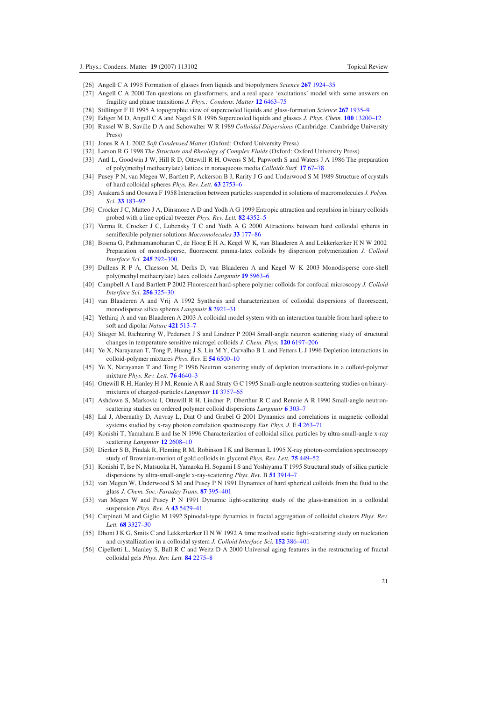- <span id="page-20-1"></span><span id="page-20-0"></span>[26] Angell C A 1995 Formation of glasses from liquids and biopolymers *Science* **267** [1924–35](http://dx.doi.org/10.1126/science.267.5206.1924)
- <span id="page-20-4"></span><span id="page-20-2"></span>[27] Angell C A 2000 Ten questions on glassformers, and a real space 'excitations' model with some answers on fragility and phase transitions *J. Phys.: Condens. Matter* **12** [6463–75](http://dx.doi.org/10.1088/0953-8984/12/29/318)
- [28] Stillinger F H 1995 A topographic view of supercooled liquids and glass-formation *Science* **267** [1935–9](http://dx.doi.org/10.1126/science.267.5206.1935)
- <span id="page-20-3"></span>[29] Ediger M D, Angell C A and Nagel S R 1996 Supercooled liquids and glasses *J. Phys. Chem.* **100** [13200–12](http://dx.doi.org/10.1021/jp953538d)
- <span id="page-20-5"></span>[30] Russel W B, Saville D A and Schowalter W R 1989 *Colloidal Dispersions* (Cambridge: Cambridge University Press)
- [31] Jones R A L 2002 *Soft Condensed Matter* (Oxford: Oxford University Press)
- [32] Larson R G 1998 *The Structure and Rheology of Complex Fluids* (Oxford: Oxford University Press)
- [33] Antl L, Goodwin J W, Hill R D, Ottewill R H, Owens S M, Papworth S and Waters J A 1986 The preparation of poly(methyl methacrylate) lattices in nonaqueous media *Colloids Surf.* **17** [67–78](http://dx.doi.org/10.1016/0166-6622(86)80187-1)
- <span id="page-20-6"></span>[34] Pusey P N, van Megen W, Bartlett P, Ackerson B J, Rarity J G and Underwood S M 1989 Structure of crystals of hard colloidal spheres *Phys. Rev. Lett.* **63** [2753–6](http://dx.doi.org/10.1103/PhysRevLett.63.2753)
- [35] Asakura S and Oosawa F 1958 Interaction between particles suspended in solutions of macromolecules *J. Polym. Sci.* **33** [183–92](http://dx.doi.org/10.1002/pol.1958.1203312618)
- [36] Crocker J C, Matteo J A, Dinsmore A D and Yodh A G 1999 Entropic attraction and repulsion in binary colloids probed with a line optical tweezer *Phys. Rev. Lett.* **82** [4352–5](http://dx.doi.org/10.1103/PhysRevLett.82.4352)
- [37] Verma R, Crocker J C, Lubensky T C and Yodh A G 2000 Attractions between hard colloidal spheres in semiflexible polymer solutions *Macromolecules* **33** [177–86](http://dx.doi.org/10.1021/ma990362v)
- <span id="page-20-7"></span>[38] Bosma G, Pathmamanoharan C, de Hoog E H A, Kegel W K, van Blaaderen A and Lekkerkerker H N W 2002 Preparation of monodisperse, fluorescent pmma-latex colloids by dispersion polymerization *J. Colloid Interface Sci.* **245** [292–300](http://dx.doi.org/10.1006/jcis.2001.7986)
- <span id="page-20-9"></span><span id="page-20-8"></span>[39] Dullens R P A, Claesson M, Derks D, van Blaaderen A and Kegel W K 2003 Monodisperse core-shell poly(methyl methacrylate) latex colloids *Langmuir* **19** [5963–6](http://dx.doi.org/10.1021/la034636q)
- [40] Campbell A I and Bartlett P 2002 Fluorescent hard-sphere polymer colloids for confocal microscopy *J. Colloid Interface Sci.* **256** [325–30](http://dx.doi.org/10.1006/jcis.2002.8669)
- [41] van Blaaderen A and Vrij A 1992 Synthesis and characterization of colloidal dispersions of fluorescent, monodisperse silica spheres *Langmuir* **8** [2921–31](http://dx.doi.org/10.1021/la00048a013)
- [42] Yethiraj A and van Blaaderen A 2003 A colloidal model system with an interaction tunable from hard sphere to soft and dipolar *Nature* **421** [513–7](http://dx.doi.org/10.1038/nature01328)
- [43] Stieger M, Richtering W, Pedersen J S and Lindner P 2004 Small-angle neutron scattering study of structural changes in temperature sensitive microgel colloids *J. Chem. Phys.* **120** [6197–206](http://dx.doi.org/10.1063/1.1665752)
- <span id="page-20-10"></span>[44] Ye X, Narayanan T, Tong P, Huang J S, Lin M Y, Carvalho B L and Fetters L J 1996 Depletion interactions in colloid-polymer mixtures *Phys. Rev.* E **54** [6500–10](http://dx.doi.org/10.1103/PhysRevE.54.6500)
- [45] Ye X, Narayanan T and Tong P 1996 Neutron scattering study of depletion interactions in a colloid-polymer mixture *Phys. Rev. Lett.* **76** [4640–3](http://dx.doi.org/10.1103/PhysRevLett.76.4640)
- [46] Ottewill R H, Hanley H J M, Rennie A R and Straty G C 1995 Small-angle neutron-scattering studies on binarymixtures of charged-particles *Langmuir* **11** [3757–65](http://dx.doi.org/10.1021/la00010a028)
- [47] Ashdown S, Markovic I, Ottewill R H, Lindner P, Oberthur R C and Rennie A R 1990 Small-angle neutronscattering studies on ordered polymer colloid dispersions *Langmuir* **6** [303–7](http://dx.doi.org/10.1021/la00092a002)
- <span id="page-20-11"></span>[48] Lal J, Abernathy D, Auvray L, Diat O and Grubel G 2001 Dynamics and correlations in magnetic colloidal systems studied by x-ray photon correlation spectroscopy *Eur. Phys. J.* E **4** [263–71](http://dx.doi.org/10.1007/s101890170108)
- [49] Konishi T, Yamahara E and Ise N 1996 Characterization of colloidal silica particles by ultra-small-angle x-ray scattering *Langmuir* **12** [2608–10](http://dx.doi.org/10.1021/la950777j)
- [50] Dierker S B, Pindak R, Fleming R M, Robinson I K and Berman L 1995 X-ray photon-correlation spectroscopy study of Brownian-motion of gold colloids in glycerol *Phys. Rev. Lett.* **75** [449–52](http://dx.doi.org/10.1103/PhysRevLett.75.449)
- [51] Konishi T, Ise N, Matsuoka H, Yamaoka H, Sogami I S and Yoshiyama T 1995 Structural study of silica particle dispersions by ultra-small-angle x-ray-scattering *Phys. Rev.* B **51** [3914–7](http://dx.doi.org/10.1103/PhysRevB.51.3914)
- [52] van Megen W, Underwood S M and Pusey P N 1991 Dynamics of hard spherical colloids from the fluid to the glass *J. Chem. Soc.-Faraday Trans.* **87** [395–401](http://dx.doi.org/10.1039/ft9918700395)
- [53] van Megen W and Pusey P N 1991 Dynamic light-scattering study of the glass-transition in a colloidal suspension *Phys. Rev.* A **43** [5429–41](http://dx.doi.org/10.1103/PhysRevA.43.5429)
- [54] Carpineti M and Giglio M 1992 Spinodal-type dynamics in fractal aggregation of colloidal clusters *Phys. Rev. Lett.* **68** [3327–30](http://dx.doi.org/10.1103/PhysRevLett.68.3327)
- [55] Dhont J K G, Smits C and Lekkerkerker H N W 1992 A time resolved static light-scattering study on nucleation and crystallization in a colloidal system *J. Colloid Interface Sci.* **152** [386–401](http://dx.doi.org/10.1016/0021-9797(92)90041-J)
- [56] Cipelletti L, Manley S, Ball R C and Weitz D A 2000 Universal aging features in the restructuring of fractal colloidal gels *Phys. Rev. Lett.* **84** [2275–8](http://dx.doi.org/10.1103/PhysRevLett.84.2275)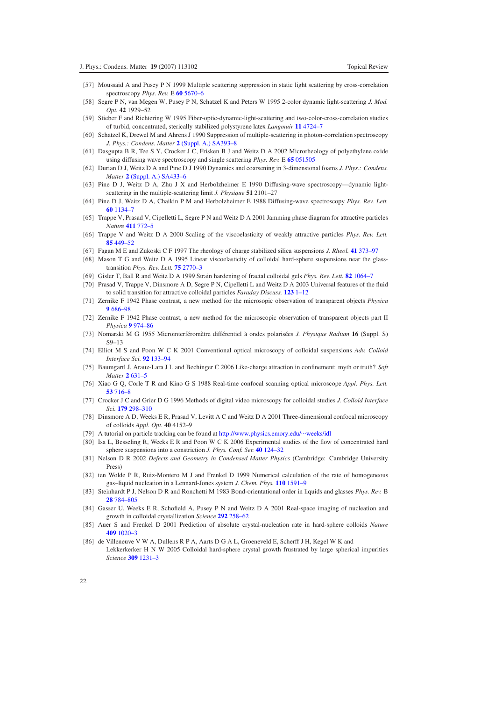- <span id="page-21-1"></span><span id="page-21-0"></span>[57] Moussaid A and Pusey P N 1999 Multiple scattering suppression in static light scattering by cross-correlation spectroscopy *Phys. Rev.* E **60** [5670–6](http://dx.doi.org/10.1103/PhysRevE.60.5670)
- [58] Segre P N, van Megen W, Pusey P N, Schatzel K and Peters W 1995 2-color dynamic light-scattering *J. Mod. Opt.* **42** 1929–52
- [59] Stieber F and Richtering W 1995 Fiber-optic-dynamic-light-scattering and two-color-cross-correlation studies of turbid, concentrated, sterically stabilized polystyrene latex *Langmuir* **11** [4724–7](http://dx.doi.org/10.1021/la00012a024)
- [60] Schatzel K, Drewel M and Ahrens J 1990 Suppression of multiple-scattering in photon-correlation spectroscopy *J. Phys.: Condens. Matter* **2** [\(Suppl. A.\) SA393–8](http://dx.doi.org/10.1088/0953-8984/2/S/062)
- <span id="page-21-2"></span>[61] Dasgupta B R, Tee S Y, Crocker J C, Frisken B J and Weitz D A 2002 Microrheology of polyethylene oxide using diffusing wave spectroscopy and single scattering *Phys. Rev.* E **65** [051505](http://dx.doi.org/10.1103/PhysRevE.65.051505)
- <span id="page-21-3"></span>[62] Durian D J, Weitz D A and Pine D J 1990 Dynamics and coarsening in 3-dimensional foams *J. Phys.: Condens. Matter* **2** [\(Suppl. A.\) SA433–6](http://dx.doi.org/10.1088/0953-8984/2/S/069)
- <span id="page-21-4"></span>[63] Pine D J, Weitz D A, Zhu J X and Herbolzheimer E 1990 Diffusing-wave spectroscopy—dynamic lightscattering in the multiple-scattering limit *J. Physique* **51** 2101–27
- <span id="page-21-5"></span>[64] Pine D J, Weitz D A, Chaikin P M and Herbolzheimer E 1988 Diffusing-wave spectroscopy *Phys. Rev. Lett.* **60** [1134–7](http://dx.doi.org/10.1103/PhysRevLett.60.1134)
- <span id="page-21-7"></span><span id="page-21-6"></span>[65] Trappe V, Prasad V, Cipelletti L, Segre P N and Weitz D A 2001 Jamming phase diagram for attractive particles *Nature* **411** [772–5](http://dx.doi.org/10.1038/35081021)
- <span id="page-21-8"></span>[66] Trappe V and Weitz D A 2000 Scaling of the viscoelasticity of weakly attractive particles *Phys. Rev. Lett.* **85** [449–52](http://dx.doi.org/10.1103/PhysRevLett.85.449)
- [67] Fagan M E and Zukoski C F 1997 The rheology of charge stabilized silica suspensions *J. Rheol.* **41** [373–97](http://dx.doi.org/10.1122/1.550876)
- <span id="page-21-9"></span>[68] Mason T G and Weitz D A 1995 Linear viscoelasticity of colloidal hard-sphere suspensions near the glasstransition *Phys. Rev. Lett.* **75** [2770–3](http://dx.doi.org/10.1103/PhysRevLett.75.2770)
- <span id="page-21-10"></span>[69] Gisler T, Ball R and Weitz D A 1999 Strain hardening of fractal colloidal gels *Phys. Rev. Lett.* **82** [1064–7](http://dx.doi.org/10.1103/PhysRevLett.82.1064)
- <span id="page-21-11"></span>[70] Prasad V, Trappe V, Dinsmore A D, Segre P N, Cipelletti L and Weitz D A 2003 Universal features of the fluid to solid transition for attractive colloidal particles *Faraday Discuss.* **123** [1–12](http://dx.doi.org/10.1039/b211107c)
- <span id="page-21-12"></span>[71] Zernike F 1942 Phase contrast, a new method for the microsopic observation of transparent objects *Physica* **9** [686–98](http://dx.doi.org/10.1016/S0031-8914(42)80035-X)
- <span id="page-21-13"></span>[72] Zernike F 1942 Phase contrast, a new method for the microscopic observation of transparent objects part II *Physica* **9** [974–86](http://dx.doi.org/10.1016/S0031-8914(42)80079-8)
- <span id="page-21-14"></span>[73] Nomarski M G 1955 Microinterféromètre différentiel à ondes polarisées *J. Physique Radium* 16 (Suppl. S) S9–13
- <span id="page-21-15"></span>[74] Elliot M S and Poon W C K 2001 Conventional optical microscopy of colloidal suspensions *Adv. Colloid Interface Sci.* **92** [133–94](http://dx.doi.org/10.1016/S0001-8686(00)00070-1)
- [75] Baumgartl J, Arauz-Lara J L and Bechinger C 2006 Like-charge attraction in confinement: myth or truth? *Soft Matter* **2** [631–5](http://dx.doi.org/10.1039/b603052a)
- <span id="page-21-16"></span>[76] Xiao G Q, Corle T R and Kino G S 1988 Real-time confocal scanning optical microscope *Appl. Phys. Lett.* **53** [716–8](http://dx.doi.org/10.1063/1.99814)
- <span id="page-21-17"></span>[77] Crocker J C and Grier D G 1996 Methods of digital video microscopy for colloidal studies *J. Colloid Interface Sci.* **179** [298–310](http://dx.doi.org/10.1006/jcis.1996.0217)
- <span id="page-21-18"></span>[78] Dinsmore A D, Weeks E R, Prasad V, Levitt A C and Weitz D A 2001 Three-dimensional confocal microscopy of colloids *Appl. Opt.* **40** 4152–9
- <span id="page-21-19"></span>[79] A tutorial on particle tracking can be found at [http://www.physics.emory.edu/](http://www.physics.emory.edu/~weeks/idl)[∼](http://www.physics.emory.edu/~weeks/idl)[weeks/idl](http://www.physics.emory.edu/~weeks/idl)
- <span id="page-21-20"></span>[80] Isa L, Besseling R, Weeks E R and Poon W C K 2006 Experimental studies of the flow of concentrated hard sphere suspensions into a constriction *J. Phys. Conf. Ser.* **40** [124–32](http://dx.doi.org/10.1088/1742-6596/40/1/016)
- <span id="page-21-21"></span>[81] Nelson D R 2002 *Defects and Geometry in Condensed Matter Physics* (Cambridge: Cambridge University Press)
- <span id="page-21-22"></span>[82] ten Wolde P R, Ruiz-Montero M J and Frenkel D 1999 Numerical calculation of the rate of homogeneous gas–liquid nucleation in a Lennard-Jones system *J. Chem. Phys.* **110** [1591–9](http://dx.doi.org/10.1063/1.477799)
- [83] Steinhardt P J, Nelson D R and Ronchetti M 1983 Bond-orientational order in liquids and glasses *Phys. Rev.* B **28** [784–805](http://dx.doi.org/10.1103/PhysRevB.28.784)
- [84] Gasser U, Weeks E R, Schofield A, Pusey P N and Weitz D A 2001 Real-space imaging of nucleation and growth in colloidal crystallization *Science* **292** [258–62](http://dx.doi.org/10.1126/science.1058457)
- [85] Auer S and Frenkel D 2001 Prediction of absolute crystal-nucleation rate in hard-sphere colloids *Nature* **409** [1020–3](http://dx.doi.org/10.1038/35059035)
- [86] de Villeneuve V W A, Dullens R P A, Aarts D G A L, Groeneveld E, Scherff J H, Kegel W K and Lekkerkerker H N W 2005 Colloidal hard-sphere crystal growth frustrated by large spherical impurities *Science* **309** [1231–3](http://dx.doi.org/10.1126/science.1113207)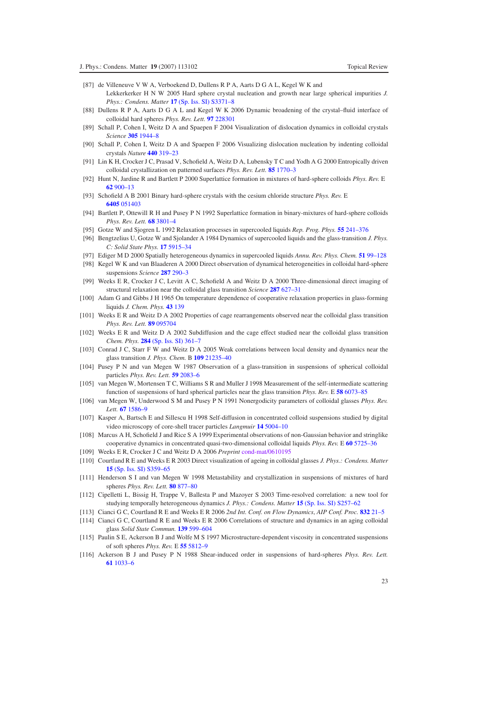- <span id="page-22-3"></span><span id="page-22-2"></span><span id="page-22-1"></span><span id="page-22-0"></span>[87] de Villeneuve V W A, Verboekend D, Dullens R P A, Aarts D G A L, Kegel W K and
- Lekkerkerker H N W 2005 Hard sphere crystal nucleation and growth near large spherical impurities *J. Phys.: Condens. Matter* **17** [\(Sp. Iss. SI\) S3371–8](http://dx.doi.org/10.1088/0953-8984/17/45/024)
- <span id="page-22-5"></span><span id="page-22-4"></span>[88] Dullens R P A, Aarts D G A L and Kegel W K 2006 Dynamic broadening of the crystal–fluid interface of colloidal hard spheres *Phys. Rev. Lett.* **97** [228301](http://dx.doi.org/10.1103/PhysRevLett.97.228301)
- [89] Schall P, Cohen I, Weitz D A and Spaepen F 2004 Visualization of dislocation dynamics in colloidal crystals *Science* **305** [1944–8](http://dx.doi.org/10.1126/science.1102186)
- [90] Schall P, Cohen I, Weitz D A and Spaepen F 2006 Visualizing dislocation nucleation by indenting colloidal crystals *Nature* **440** [319–23](http://dx.doi.org/10.1038/nature04557)
- <span id="page-22-7"></span>[91] Lin K H, Crocker J C, Prasad V, Schofield A, Weitz D A, Lubensky T C and Yodh A G 2000 Entropically driven colloidal crystallization on patterned surfaces *Phys. Rev. Lett.* **85** [1770–3](http://dx.doi.org/10.1103/PhysRevLett.85.1770)
- <span id="page-22-8"></span>[92] Hunt N, Jardine R and Bartlett P 2000 Superlattice formation in mixtures of hard-sphere colloids *Phys. Rev.* E **62** [900–13](http://dx.doi.org/10.1103/PhysRevE.62.900)
- <span id="page-22-10"></span><span id="page-22-9"></span>[93] Schofield A B 2001 Binary hard-sphere crystals with the cesium chloride structure *Phys. Rev.* E **6405** [051403](http://dx.doi.org/10.1103/PhysRevE.64.051403)
- <span id="page-22-6"></span>[94] Bartlett P, Ottewill R H and Pusey P N 1992 Superlattice formation in binary-mixtures of hard-sphere colloids *Phys. Rev. Lett.* **68** [3801–4](http://dx.doi.org/10.1103/PhysRevLett.68.3801)
- [95] Gotze W and Sjogren L 1992 Relaxation processes in supercooled liquids *Rep. Prog. Phys.* **55** [241–376](http://dx.doi.org/10.1088/0034-4885/55/3/001)
- <span id="page-22-11"></span>[96] Bengtzelius U, Gotze W and Sjolander A 1984 Dynamics of supercooled liquids and the glass-transition *J. Phys. C: Solid State Phys.* **17** [5915–34](http://dx.doi.org/10.1088/0022-3719/17/33/005)
- <span id="page-22-12"></span>[97] Ediger M D 2000 Spatially heterogeneous dynamics in supercooled liquids *Annu. Rev. Phys. Chem.* **51** [99–128](http://dx.doi.org/10.1146/annurev.physchem.51.1.99)
- [98] Kegel W K and van Blaaderen A 2000 Direct observation of dynamical heterogeneities in colloidal hard-sphere suspensions *Science* **287** [290–3](http://dx.doi.org/10.1126/science.287.5451.290)
- <span id="page-22-13"></span>[99] Weeks E R, Crocker J C, Levitt A C, Schofield A and Weitz D A 2000 Three-dimensional direct imaging of structural relaxation near the colloidal glass transition *Science* **287** [627–31](http://dx.doi.org/10.1126/science.287.5453.627)
- <span id="page-22-15"></span><span id="page-22-14"></span>[100] Adam G and Gibbs J H 1965 On temperature dependence of cooperative relaxation properties in glass-forming liquids *J. Chem. Phys.* **43** [139](http://dx.doi.org/10.1063/1.1696442)
- [101] Weeks E R and Weitz D A 2002 Properties of cage rearrangements observed near the colloidal glass transition *Phys. Rev. Lett.* **89** [095704](http://dx.doi.org/10.1103/PhysRevLett.89.095704)
- [102] Weeks E R and Weitz D A 2002 Subdiffusion and the cage effect studied near the colloidal glass transition *Chem. Phys.* **284** [\(Sp. Iss. SI\) 361–7](http://dx.doi.org/10.1016/S0301-0104(02)00667-5)
- <span id="page-22-16"></span>[103] Conrad J C, Starr F W and Weitz D A 2005 Weak correlations between local density and dynamics near the glass transition *J. Phys. Chem.* B **109** [21235–40](http://dx.doi.org/10.1021/jp0514168)
- [104] Pusey P N and van Megen W 1987 Observation of a glass-transition in suspensions of spherical colloidal particles *Phys. Rev. Lett.* **59** [2083–6](http://dx.doi.org/10.1103/PhysRevLett.59.2083)
- <span id="page-22-18"></span><span id="page-22-17"></span>[105] van Megen W, Mortensen T C, Williams S R and Muller J 1998 Measurement of the self-intermediate scattering function of suspensions of hard spherical particles near the glass transition *Phys. Rev.* E **58** [6073–85](http://dx.doi.org/10.1103/PhysRevE.58.6073)
- <span id="page-22-19"></span>[106] van Megen W, Underwood S M and Pusey P N 1991 Nonergodicity parameters of colloidal glasses *Phys. Rev. Lett.* **67** [1586–9](http://dx.doi.org/10.1103/PhysRevLett.67.1586)
- <span id="page-22-20"></span>[107] Kasper A, Bartsch E and Sillescu H 1998 Self-diffusion in concentrated colloid suspensions studied by digital video microscopy of core-shell tracer particles *Langmuir* **14** [5004–10](http://dx.doi.org/10.1021/la971089y)
- <span id="page-22-21"></span>[108] Marcus A H, Schofield J and Rice S A 1999 Experimental observations of non-Gaussian behavior and stringlike cooperative dynamics in concentrated quasi-two-dimensional colloidal liquids *Phys. Rev.* E **60** [5725–36](http://dx.doi.org/10.1103/PhysRevE.60.5725)
- <span id="page-22-22"></span>[109] Weeks E R, Crocker J C and Weitz D A 2006 *Preprint* [cond-mat/0610195](http://arxiv.org/abs/cond-mat/0610195)
- <span id="page-22-23"></span>[110] Courtland R E and Weeks E R 2003 Direct visualization of ageing in colloidal glasses *J. Phys.: Condens. Matter* **15** [\(Sp. Iss. SI\) S359–65](http://dx.doi.org/10.1088/0953-8984/15/1/349)
- <span id="page-22-24"></span>[111] Henderson S I and van Megen W 1998 Metastability and crystallization in suspensions of mixtures of hard spheres *Phys. Rev. Lett.* **80** [877–80](http://dx.doi.org/10.1103/PhysRevLett.80.877)
- [112] Cipelletti L, Bissig H, Trappe V, Ballesta P and Mazoyer S 2003 Time-resolved correlation: a new tool for studying temporally heterogeneous dynamics *J. Phys.: Condens. Matter* **15** [\(Sp. Iss. SI\) S257–62](http://dx.doi.org/10.1088/0953-8984/15/1/334)
- [113] Cianci G C, Courtland R E and Weeks E R 2006 *2nd Int. Conf. on Flow Dynamics*, *AIP Conf. Proc.* **832** [21–5](http://dx.doi.org/10.1063/1.2204459)
- [114] Cianci G C, Courtland R E and Weeks E R 2006 Correlations of structure and dynamics in an aging colloidal glass *Solid State Commun.* **139** [599–604](http://dx.doi.org/10.1016/j.ssc.2006.04.039)
- [115] Paulin S E, Ackerson B J and Wolfe M S 1997 Microstructure-dependent viscosity in concentrated suspensions of soft spheres *Phys. Rev.* E **55** [5812–9](http://dx.doi.org/10.1103/PhysRevE.55.5812)
- [116] Ackerson B J and Pusey P N 1988 Shear-induced order in suspensions of hard-spheres *Phys. Rev. Lett.* **61** [1033–6](http://dx.doi.org/10.1103/PhysRevLett.61.1033)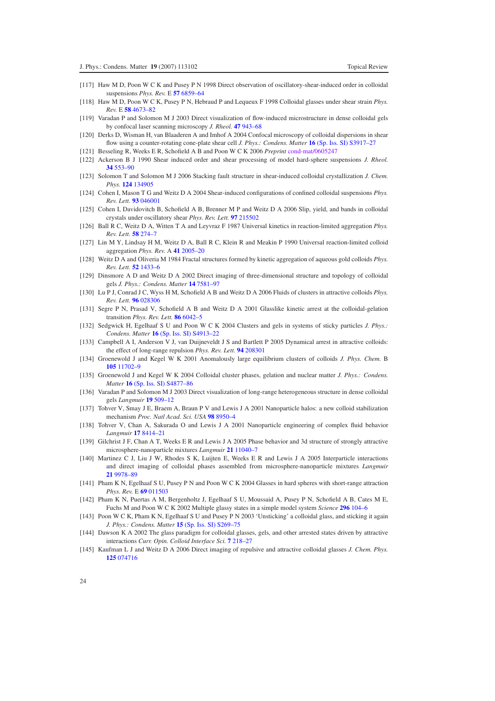- <span id="page-23-2"></span><span id="page-23-1"></span><span id="page-23-0"></span>[117] Haw M D, Poon W C K and Pusey P N 1998 Direct observation of oscillatory-shear-induced order in colloidal suspensions *Phys. Rev.* E **57** [6859–64](http://dx.doi.org/10.1103/PhysRevE.57.6859)
- <span id="page-23-3"></span>[118] Haw M D, Poon W C K, Pusey P N, Hebraud P and Lequeux F 1998 Colloidal glasses under shear strain *Phys. Rev.* E **58** [4673–82](http://dx.doi.org/10.1103/PhysRevE.58.4673)
- <span id="page-23-4"></span>[119] Varadan P and Solomon M J 2003 Direct visualization of flow-induced microstructure in dense colloidal gels by confocal laser scanning microscopy *J. Rheol.* **47** [943–68](http://dx.doi.org/10.1122/1.1579689)
- <span id="page-23-5"></span>[120] Derks D, Wisman H, van Blaaderen A and Imhof A 2004 Confocal microscopy of colloidal dispersions in shear flow using a counter-rotating cone-plate shear cell *J. Phys.: Condens. Matter* **16** [\(Sp. Iss. SI\) S3917–27](http://dx.doi.org/10.1088/0953-8984/16/38/010)
- <span id="page-23-6"></span>[121] Besseling R, Weeks E R, Schofield A B and Poon W C K 2006 *Preprint* [cond-mat/0605247](http://arxiv.org/abs/cond-mat/0605247)
- <span id="page-23-7"></span>[122] Ackerson B J 1990 Shear induced order and shear processing of model hard-sphere suspensions *J. Rheol.* **34** [553–90](http://dx.doi.org/10.1122/1.550096)
- [123] Solomon T and Solomon M J 2006 Stacking fault structure in shear-induced colloidal crystallization *J. Chem. Phys.* **124** [134905](http://dx.doi.org/10.1063/1.2178784)
- [124] Cohen I, Mason T G and Weitz D A 2004 Shear-induced configurations of confined colloidal suspensions *Phys. Rev. Lett.* **93** [046001](http://dx.doi.org/10.1103/PhysRevLett.93.046001)
- <span id="page-23-8"></span>[125] Cohen I, Davidovitch B, Schofield A B, Brenner M P and Weitz D A 2006 Slip, yield, and bands in colloidal crystals under oscillatory shear *Phys. Rev. Lett.* **97** [215502](http://dx.doi.org/10.1103/PhysRevLett.97.215502)
- <span id="page-23-9"></span>[126] Ball R C, Weitz D A, Witten T A and Leyvraz F 1987 Universal kinetics in reaction-limited aggregation *Phys. Rev. Lett.* **58** [274–7](http://dx.doi.org/10.1103/PhysRevLett.58.274)
- [127] Lin M Y, Lindsay H M, Weitz D A, Ball R C, Klein R and Meakin P 1990 Universal reaction-limited colloid aggregation *Phys. Rev.* A **41** [2005–20](http://dx.doi.org/10.1103/PhysRevA.41.2005)
- <span id="page-23-10"></span>[128] Weitz D A and Oliveria M 1984 Fractal structures formed by kinetic aggregation of aqueous gold colloids *Phys. Rev. Lett.* **52** [1433–6](http://dx.doi.org/10.1103/PhysRevLett.52.1433)
- [129] Dinsmore A D and Weitz D A 2002 Direct imaging of three-dimensional structure and topology of colloidal gels *J. Phys.: Condens. Matter* **14** [7581–97](http://dx.doi.org/10.1088/0953-8984/14/33/303)
- <span id="page-23-11"></span>[130] Lu P J, Conrad J C, Wyss H M, Schofield A B and Weitz D A 2006 Fluids of clusters in attractive colloids *Phys. Rev. Lett.* **96** [028306](http://dx.doi.org/10.1103/PhysRevLett.96.028306)
- <span id="page-23-12"></span>[131] Segre P N, Prasad V, Schofield A B and Weitz D A 2001 Glasslike kinetic arrest at the colloidal-gelation transition *Phys. Rev. Lett.* **86** [6042–5](http://dx.doi.org/10.1103/PhysRevLett.86.6042)
- <span id="page-23-13"></span>[132] Sedgwick H, Egelhaaf S U and Poon W C K 2004 Clusters and gels in systems of sticky particles *J. Phys.: Condens. Matter* **16** [\(Sp. Iss. SI\) S4913–22](http://dx.doi.org/10.1088/0953-8984/16/42/009)
- <span id="page-23-14"></span>[133] Campbell A I, Anderson V J, van Duijneveldt J S and Bartlett P 2005 Dynamical arrest in attractive colloids: the effect of long-range repulsion *Phys. Rev. Lett.* **94** [208301](http://dx.doi.org/10.1103/PhysRevLett.94.208301)
- <span id="page-23-15"></span>[134] Groenewold J and Kegel W K 2001 Anomalously large equilibrium clusters of colloids *J. Phys. Chem.* B **105** [11702–9](http://dx.doi.org/10.1021/jp011646w)
- <span id="page-23-16"></span>[135] Groenewold J and Kegel W K 2004 Colloidal cluster phases, gelation and nuclear matter *J. Phys.: Condens. Matter* **16** [\(Sp. Iss. SI\) S4877–86](http://dx.doi.org/10.1088/0953-8984/16/42/006)
- <span id="page-23-17"></span>[136] Varadan P and Solomon M J 2003 Direct visualization of long-range heterogeneous structure in dense colloidal gels *Langmuir* **19** [509–12](http://dx.doi.org/10.1021/la026303j)
- [137] Tohver V, Smay J E, Braem A, Braun P V and Lewis J A 2001 Nanoparticle halos: a new colloid stabilization mechanism *Proc. Natl Acad. Sci. USA* **98** [8950–4](http://dx.doi.org/10.1073/pnas.151063098)
- <span id="page-23-18"></span>[138] Tohver V, Chan A, Sakurada O and Lewis J A 2001 Nanoparticle engineering of complex fluid behavior *Langmuir* **17** [8414–21](http://dx.doi.org/10.1021/la011252w)
- [139] Gilchrist J F, Chan A T, Weeks E R and Lewis J A 2005 Phase behavior and 3d structure of strongly attractive microsphere-nanoparticle mixtures *Langmuir* **21** [11040–7](http://dx.doi.org/10.1021/la051998k)
- [140] Martinez C J, Liu J W, Rhodes S K, Luijten E, Weeks E R and Lewis J A 2005 Interparticle interactions and direct imaging of colloidal phases assembled from microsphere-nanoparticle mixtures *Langmuir* **21** [9978–89](http://dx.doi.org/10.1021/la050382s)
- <span id="page-23-19"></span>[141] Pham K N, Egelhaaf S U, Pusey P N and Poon W C K 2004 Glasses in hard spheres with short-range attraction *Phys. Rev.* E **69** [011503](http://dx.doi.org/10.1103/PhysRevE.69.011503)
- [142] Pham K N, Puertas A M, Bergenholtz J, Egelhaaf S U, Moussaid A, Pusey P N, Schofield A B, Cates M E, Fuchs M and Poon W C K 2002 Multiple glassy states in a simple model system *Science* **296** [104–6](http://dx.doi.org/10.1126/science.1068238)
- [143] Poon W C K, Pham K N, Egelhaaf S U and Pusey P N 2003 'Unsticking' a colloidal glass, and sticking it again *J. Phys.: Condens. Matter* **15** [\(Sp. Iss. SI\) S269–75](http://dx.doi.org/10.1088/0953-8984/15/1/336)
- [144] Dawson K A 2002 The glass paradigm for colloidal glasses, gels, and other arrested states driven by attractive interactions *Curr. Opin. Colloid Interface Sci.* **7** [218–27](http://dx.doi.org/10.1016/S1359-0294(02)00052-3)
- [145] Kaufman L J and Weitz D A 2006 Direct imaging of repulsive and attractive colloidal glasses *J. Chem. Phys.* **125** [074716](http://dx.doi.org/10.1063/1.2227386)